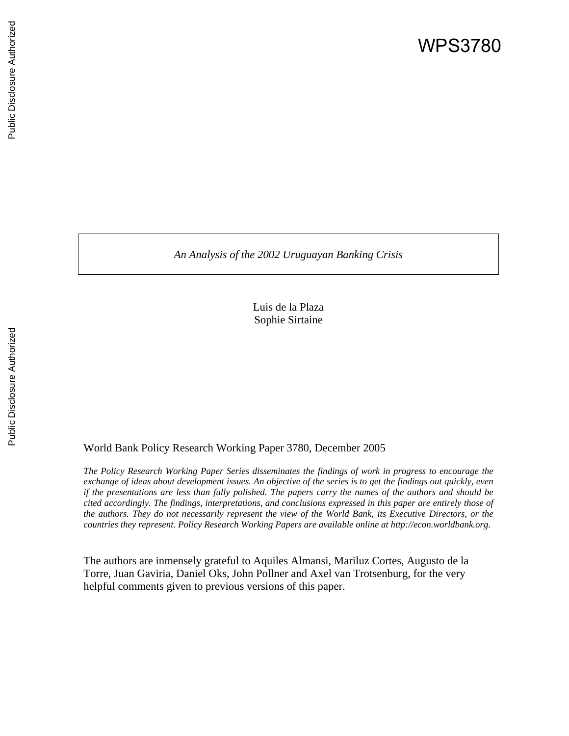*An Analysis of the 2002 Uruguayan Banking Crisis* 

Luis de la Plaza Sophie Sirtaine

## World Bank Policy Research Working Paper 3780, December 2005

*The Policy Research Working Paper Series disseminates the findings of work in progress to encourage the exchange of ideas about development issues. An objective of the series is to get the findings out quickly, even if the presentations are less than fully polished. The papers carry the names of the authors and should be cited accordingly. The findings, interpretations, and conclusions expressed in this paper are entirely those of the authors. They do not necessarily represent the view of the World Bank, its Executive Directors, or the countries they represent. Policy Research Working Papers are available online at http://econ.worldbank.org.* 

The authors are inmensely grateful to Aquiles Almansi, Mariluz Cortes, Augusto de la Torre, Juan Gaviria, Daniel Oks, John Pollner and Axel van Trotsenburg, for the very helpful comments given to previous versions of this paper.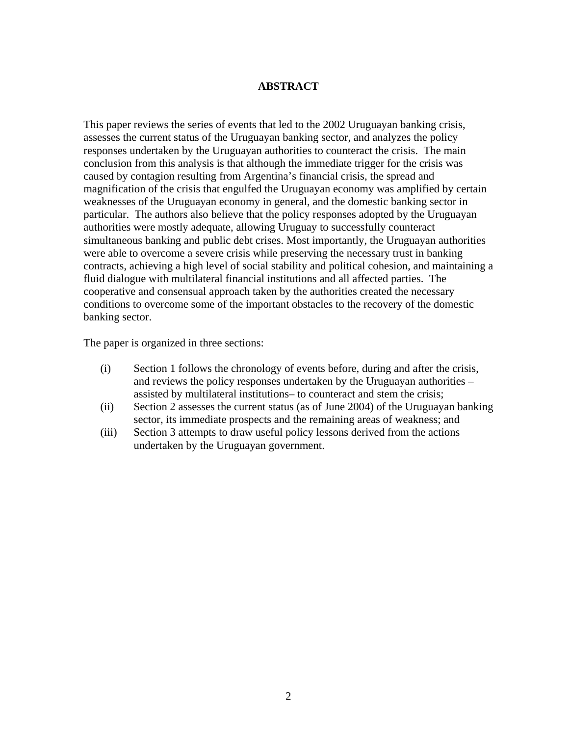## **ABSTRACT**

This paper reviews the series of events that led to the 2002 Uruguayan banking crisis, assesses the current status of the Uruguayan banking sector, and analyzes the policy responses undertaken by the Uruguayan authorities to counteract the crisis. The main conclusion from this analysis is that although the immediate trigger for the crisis was caused by contagion resulting from Argentina's financial crisis, the spread and magnification of the crisis that engulfed the Uruguayan economy was amplified by certain weaknesses of the Uruguayan economy in general, and the domestic banking sector in particular. The authors also believe that the policy responses adopted by the Uruguayan authorities were mostly adequate, allowing Uruguay to successfully counteract simultaneous banking and public debt crises. Most importantly, the Uruguayan authorities were able to overcome a severe crisis while preserving the necessary trust in banking contracts, achieving a high level of social stability and political cohesion, and maintaining a fluid dialogue with multilateral financial institutions and all affected parties. The cooperative and consensual approach taken by the authorities created the necessary conditions to overcome some of the important obstacles to the recovery of the domestic banking sector.

The paper is organized in three sections:

- (i) Section 1 follows the chronology of events before, during and after the crisis, and reviews the policy responses undertaken by the Uruguayan authorities – assisted by multilateral institutions– to counteract and stem the crisis;
- (ii) Section 2 assesses the current status (as of June 2004) of the Uruguayan banking sector, its immediate prospects and the remaining areas of weakness; and
- (iii) Section 3 attempts to draw useful policy lessons derived from the actions undertaken by the Uruguayan government.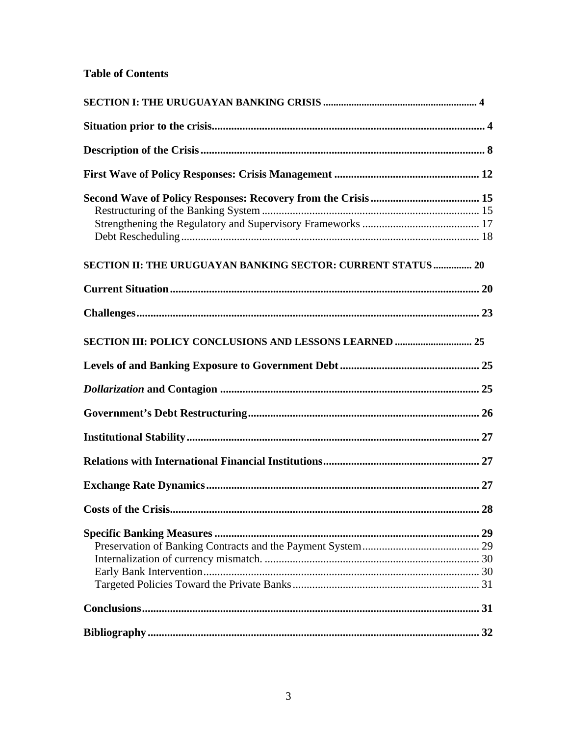## **Table of Contents**

| <b>SECTION II: THE URUGUAYAN BANKING SECTOR: CURRENT STATUS  20</b> |
|---------------------------------------------------------------------|
|                                                                     |
|                                                                     |
|                                                                     |
|                                                                     |
|                                                                     |
|                                                                     |
|                                                                     |
|                                                                     |
|                                                                     |
| 28                                                                  |
|                                                                     |
|                                                                     |
|                                                                     |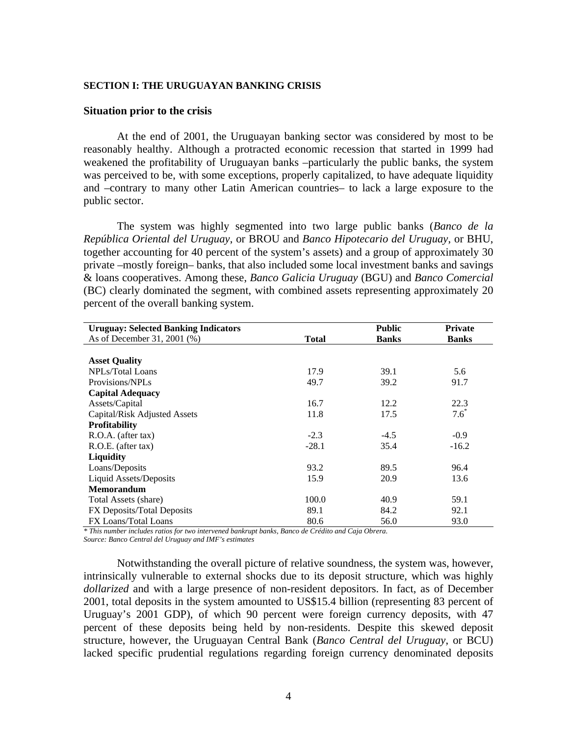#### **SECTION I: THE URUGUAYAN BANKING CRISIS**

#### **Situation prior to the crisis**

At the end of 2001, the Uruguayan banking sector was considered by most to be reasonably healthy. Although a protracted economic recession that started in 1999 had weakened the profitability of Uruguayan banks –particularly the public banks, the system was perceived to be, with some exceptions, properly capitalized, to have adequate liquidity and –contrary to many other Latin American countries– to lack a large exposure to the public sector.

The system was highly segmented into two large public banks (*Banco de la República Oriental del Uruguay*, or BROU and *Banco Hipotecario del Uruguay*, or BHU, together accounting for 40 percent of the system's assets) and a group of approximately 30 private –mostly foreign– banks, that also included some local investment banks and savings & loans cooperatives. Among these, *Banco Galicia Uruguay* (BGU) and *Banco Comercial*  (BC) clearly dominated the segment, with combined assets representing approximately 20 percent of the overall banking system.

| <b>Uruguay: Selected Banking Indicators</b> |              | <b>Public</b> | <b>Private</b> |
|---------------------------------------------|--------------|---------------|----------------|
| As of December 31, 2001 (%)                 | <b>Total</b> | <b>Banks</b>  | <b>Banks</b>   |
|                                             |              |               |                |
| <b>Asset Quality</b>                        |              |               |                |
| NPLs/Total Loans                            | 17.9         | 39.1          | 5.6            |
| Provisions/NPLs                             | 49.7         | 39.2          | 91.7           |
| <b>Capital Adequacy</b>                     |              |               |                |
| Assets/Capital                              | 16.7         | 12.2          | 22.3           |
| Capital/Risk Adjusted Assets                | 11.8         | 17.5          | $7.6^*$        |
| <b>Profitability</b>                        |              |               |                |
| R.O.A. (after tax)                          | $-2.3$       | $-4.5$        | $-0.9$         |
| R.O.E. (after tax)                          | $-28.1$      | 35.4          | $-16.2$        |
| Liquidity                                   |              |               |                |
| Loans/Deposits                              | 93.2         | 89.5          | 96.4           |
| Liquid Assets/Deposits                      | 15.9         | 20.9          | 13.6           |
| <b>Memorandum</b>                           |              |               |                |
| Total Assets (share)                        | 100.0        | 40.9          | 59.1           |
| FX Deposits/Total Deposits                  | 89.1         | 84.2          | 92.1           |
| FX Loans/Total Loans                        | 80.6         | 56.0          | 93.0           |

*\* This number includes ratios for two intervened bankrupt banks, Banco de Crédito and Caja Obrera. Source: Banco Central del Uruguay and IMF's estimates* 

Notwithstanding the overall picture of relative soundness, the system was, however, intrinsically vulnerable to external shocks due to its deposit structure, which was highly *dollarized* and with a large presence of non-resident depositors. In fact, as of December 2001, total deposits in the system amounted to US\$15.4 billion (representing 83 percent of Uruguay's 2001 GDP), of which 90 percent were foreign currency deposits, with 47 percent of these deposits being held by non-residents. Despite this skewed deposit structure, however, the Uruguayan Central Bank (*Banco Central del Uruguay*, or BCU) lacked specific prudential regulations regarding foreign currency denominated deposits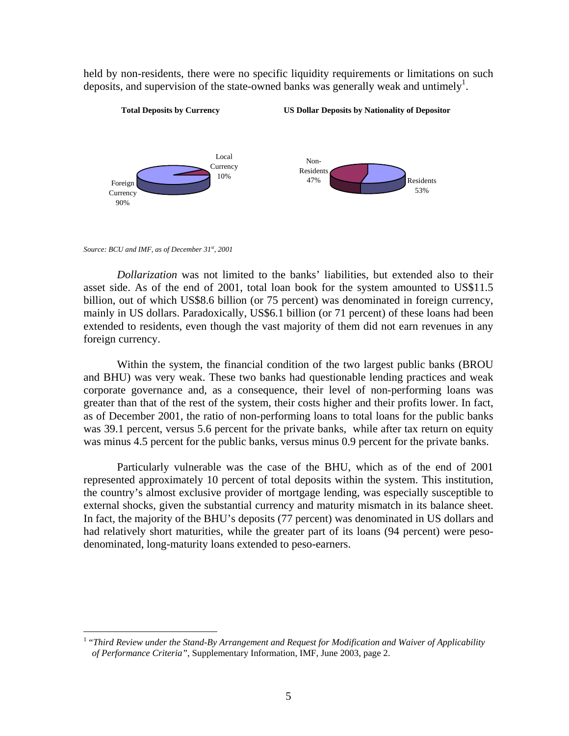held by non-residents, there were no specific liquidity requirements or limitations on such deposits, and supervision of the state-owned banks was generally weak and untimely<sup>1</sup>.



*Source: BCU and IMF, as of December 31st, 2001*

 $\overline{a}$ 

*Dollarization* was not limited to the banks' liabilities, but extended also to their asset side. As of the end of 2001, total loan book for the system amounted to US\$11.5 billion, out of which US\$8.6 billion (or 75 percent) was denominated in foreign currency, mainly in US dollars. Paradoxically, US\$6.1 billion (or 71 percent) of these loans had been extended to residents, even though the vast majority of them did not earn revenues in any foreign currency.

Within the system, the financial condition of the two largest public banks (BROU and BHU) was very weak. These two banks had questionable lending practices and weak corporate governance and, as a consequence, their level of non-performing loans was greater than that of the rest of the system, their costs higher and their profits lower. In fact, as of December 2001, the ratio of non-performing loans to total loans for the public banks was 39.1 percent, versus 5.6 percent for the private banks, while after tax return on equity was minus 4.5 percent for the public banks, versus minus 0.9 percent for the private banks.

Particularly vulnerable was the case of the BHU, which as of the end of 2001 represented approximately 10 percent of total deposits within the system. This institution, the country's almost exclusive provider of mortgage lending, was especially susceptible to external shocks, given the substantial currency and maturity mismatch in its balance sheet. In fact, the majority of the BHU's deposits (77 percent) was denominated in US dollars and had relatively short maturities, while the greater part of its loans (94 percent) were pesodenominated, long-maturity loans extended to peso-earners.

<sup>&</sup>lt;sup>1</sup> "Third Review under the Stand-By Arrangement and Request for Modification and Waiver of Applicability *of Performance Criteria"*, Supplementary Information, IMF, June 2003, page 2.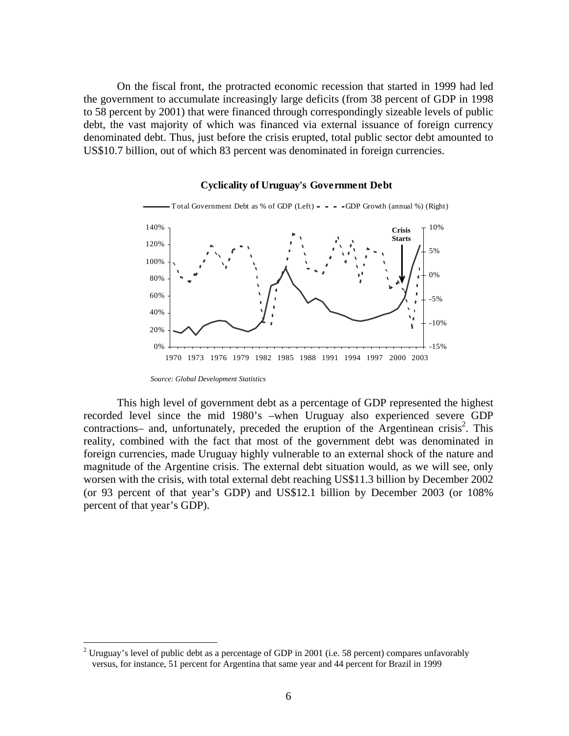On the fiscal front, the protracted economic recession that started in 1999 had led the government to accumulate increasingly large deficits (from 38 percent of GDP in 1998 to 58 percent by 2001) that were financed through correspondingly sizeable levels of public debt, the vast majority of which was financed via external issuance of foreign currency denominated debt. Thus, just before the crisis erupted, total public sector debt amounted to US\$10.7 billion, out of which 83 percent was denominated in foreign currencies.



#### **Cyclicality of Uruguay's Government Debt**

1

This high level of government debt as a percentage of GDP represented the highest recorded level since the mid 1980's –when Uruguay also experienced severe GDP  $contractions$  and, unfortunately, preceded the eruption of the Argentinean crisis<sup>2</sup>. This reality, combined with the fact that most of the government debt was denominated in foreign currencies, made Uruguay highly vulnerable to an external shock of the nature and magnitude of the Argentine crisis. The external debt situation would, as we will see, only worsen with the crisis, with total external debt reaching US\$11.3 billion by December 2002 (or 93 percent of that year's GDP) and US\$12.1 billion by December 2003 (or 108% percent of that year's GDP).

*Source: Global Development Statistics*

<sup>&</sup>lt;sup>2</sup> Uruguay's level of public debt as a percentage of GDP in 2001 (i.e. 58 percent) compares unfavorably versus, for instance, 51 percent for Argentina that same year and 44 percent for Brazil in 1999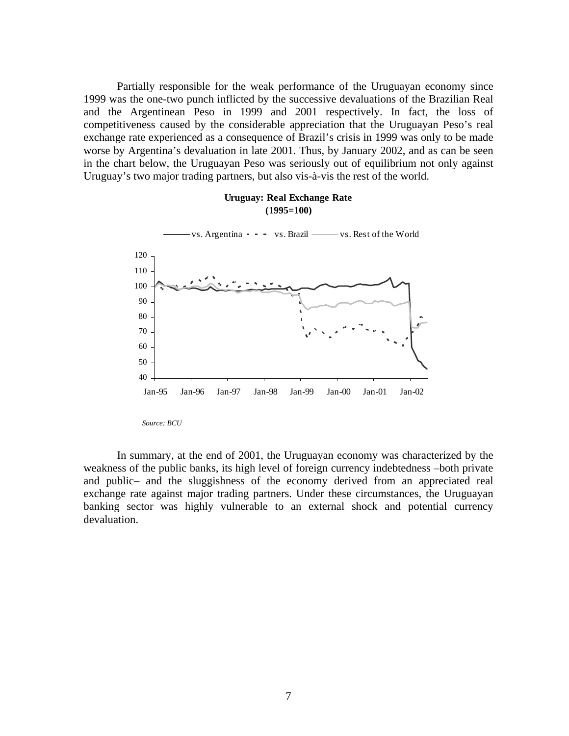Partially responsible for the weak performance of the Uruguayan economy since 1999 was the one-two punch inflicted by the successive devaluations of the Brazilian Real and the Argentinean Peso in 1999 and 2001 respectively. In fact, the loss of competitiveness caused by the considerable appreciation that the Uruguayan Peso's real exchange rate experienced as a consequence of Brazil's crisis in 1999 was only to be made worse by Argentina's devaluation in late 2001. Thus, by January 2002, and as can be seen in the chart below, the Uruguayan Peso was seriously out of equilibrium not only against Uruguay's two major trading partners, but also vis-à-vis the rest of the world.

# 40 50 60 70 80 90 100 110 120 Jan-95 Jan-96 Jan-97 Jan-98 Jan-99 Jan-00 Jan-01 Jan-02 vs. Argentina - - - vs. Brazil - vs. Rest of the World

#### **Uruguay: Real Exchange Rate (1995=100)**

*Source: BCU* 

In summary, at the end of 2001, the Uruguayan economy was characterized by the weakness of the public banks, its high level of foreign currency indebtedness –both private and public– and the sluggishness of the economy derived from an appreciated real exchange rate against major trading partners. Under these circumstances, the Uruguayan banking sector was highly vulnerable to an external shock and potential currency devaluation.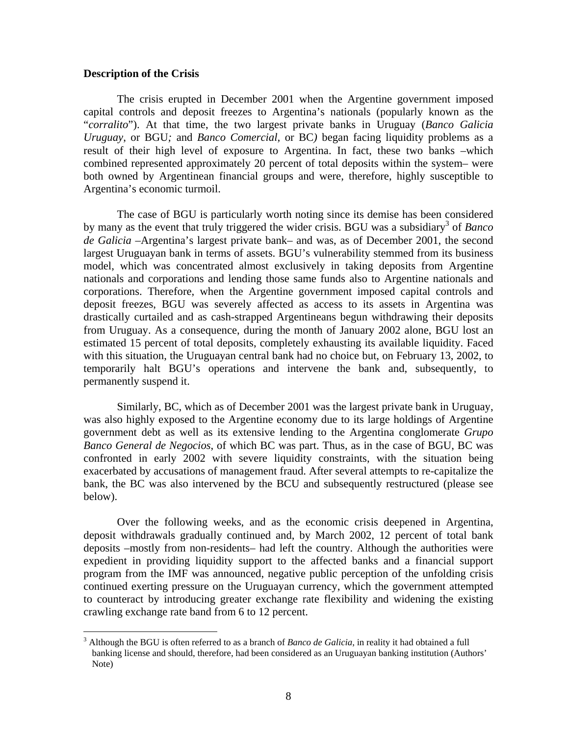#### **Description of the Crisis**

 $\overline{a}$ 

The crisis erupted in December 2001 when the Argentine government imposed capital controls and deposit freezes to Argentina's nationals (popularly known as the "*corralito*"). At that time, the two largest private banks in Uruguay (*Banco Galicia Uruguay*, or BGU*;* and *Banco Comercial,* or BC*)* began facing liquidity problems as a result of their high level of exposure to Argentina. In fact, these two banks –which combined represented approximately 20 percent of total deposits within the system– were both owned by Argentinean financial groups and were, therefore, highly susceptible to Argentina's economic turmoil.

The case of BGU is particularly worth noting since its demise has been considered by many as the event that truly triggered the wider crisis. BGU was a subsidiary<sup>3</sup> of *Banco de Galicia* –Argentina's largest private bank– and was, as of December 2001, the second largest Uruguayan bank in terms of assets. BGU's vulnerability stemmed from its business model, which was concentrated almost exclusively in taking deposits from Argentine nationals and corporations and lending those same funds also to Argentine nationals and corporations. Therefore, when the Argentine government imposed capital controls and deposit freezes, BGU was severely affected as access to its assets in Argentina was drastically curtailed and as cash-strapped Argentineans begun withdrawing their deposits from Uruguay. As a consequence, during the month of January 2002 alone, BGU lost an estimated 15 percent of total deposits, completely exhausting its available liquidity. Faced with this situation, the Uruguayan central bank had no choice but, on February 13, 2002, to temporarily halt BGU's operations and intervene the bank and, subsequently, to permanently suspend it.

Similarly, BC, which as of December 2001 was the largest private bank in Uruguay, was also highly exposed to the Argentine economy due to its large holdings of Argentine government debt as well as its extensive lending to the Argentina conglomerate *Grupo Banco General de Negocios*, of which BC was part. Thus, as in the case of BGU, BC was confronted in early 2002 with severe liquidity constraints, with the situation being exacerbated by accusations of management fraud. After several attempts to re-capitalize the bank, the BC was also intervened by the BCU and subsequently restructured (please see below).

Over the following weeks, and as the economic crisis deepened in Argentina, deposit withdrawals gradually continued and, by March 2002, 12 percent of total bank deposits –mostly from non-residents– had left the country. Although the authorities were expedient in providing liquidity support to the affected banks and a financial support program from the IMF was announced, negative public perception of the unfolding crisis continued exerting pressure on the Uruguayan currency, which the government attempted to counteract by introducing greater exchange rate flexibility and widening the existing crawling exchange rate band from 6 to 12 percent.

<sup>&</sup>lt;sup>3</sup> Although the BGU is often referred to as a branch of *Banco de Galicia*, in reality it had obtained a full banking license and should, therefore, had been considered as an Uruguayan banking institution (Authors' Note)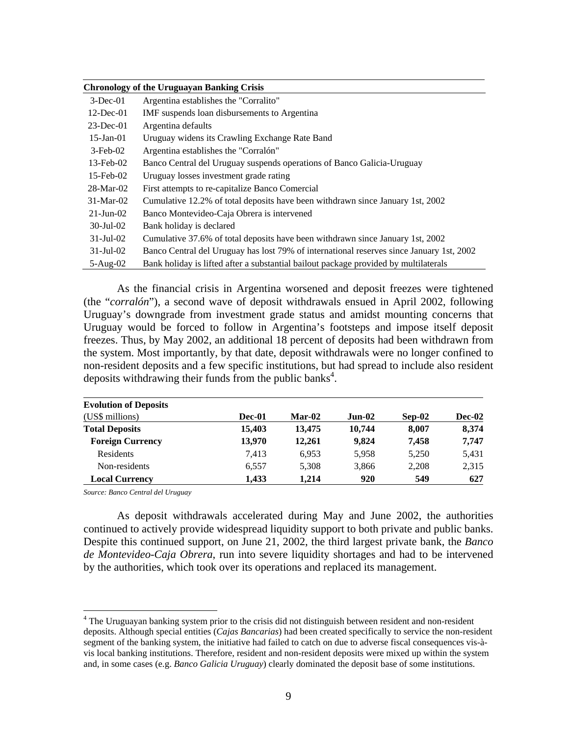|                 | <b>Chronology of the Uruguayan Banking Crisis</b>                                        |
|-----------------|------------------------------------------------------------------------------------------|
| $3$ -Dec-01     | Argentina establishes the "Corralito"                                                    |
| $12$ -Dec-01    | IMF suspends loan disbursements to Argentina                                             |
| $23$ -Dec-01    | Argentina defaults                                                                       |
| $15$ -Jan- $01$ | Uruguay widens its Crawling Exchange Rate Band                                           |
| $3$ -Feb-02     | Argentina establishes the "Corralón"                                                     |
| $13$ -Feb- $02$ | Banco Central del Uruguay suspends operations of Banco Galicia-Uruguay                   |
| $15$ -Feb-02    | Uruguay losses investment grade rating                                                   |
| $28-Mar-02$     | First attempts to re-capitalize Banco Comercial                                          |
| $31-Mar-02$     | Cumulative 12.2% of total deposits have been withdrawn since January 1st, 2002           |
| $21$ -Jun-02    | Banco Montevideo-Caja Obrera is intervened                                               |
| $30$ -Jul- $02$ | Bank holiday is declared                                                                 |
| $31-Jul-02$     | Cumulative 37.6% of total deposits have been withdrawn since January 1st, 2002           |
| $31$ -Jul-02    | Banco Central del Uruguay has lost 79% of international reserves since January 1st, 2002 |
| $5-Aug-02$      | Bank holiday is lifted after a substantial bailout package provided by multilaterals     |

As the financial crisis in Argentina worsened and deposit freezes were tightened (the "*corralón*"), a second wave of deposit withdrawals ensued in April 2002, following Uruguay's downgrade from investment grade status and amidst mounting concerns that Uruguay would be forced to follow in Argentina's footsteps and impose itself deposit freezes. Thus, by May 2002, an additional 18 percent of deposits had been withdrawn from the system. Most importantly, by that date, deposit withdrawals were no longer confined to non-resident deposits and a few specific institutions, but had spread to include also resident deposits withdrawing their funds from the public banks<sup>4</sup>.

| <b>Evolution of Deposits</b> |        |          |          |          |        |
|------------------------------|--------|----------|----------|----------|--------|
| (US\$ millions)              | Dec-01 | $Mar-02$ | $Jun-02$ | $Sep-02$ | Dec-02 |
| <b>Total Deposits</b>        | 15,403 | 13,475   | 10,744   | 8.007    | 8,374  |
| <b>Foreign Currency</b>      | 13.970 | 12.261   | 9.824    | 7.458    | 7,747  |
| Residents                    | 7.413  | 6,953    | 5,958    | 5,250    | 5,431  |
| Non-residents                | 6,557  | 5,308    | 3,866    | 2,208    | 2,315  |
| <b>Local Currency</b>        | 1,433  | 1.214    | 920      | 549      | 627    |

*Source: Banco Central del Uruguay* 

 $\overline{a}$ 

As deposit withdrawals accelerated during May and June 2002, the authorities continued to actively provide widespread liquidity support to both private and public banks. Despite this continued support, on June 21, 2002, the third largest private bank, the *Banco de Montevideo-Caja Obrera*, run into severe liquidity shortages and had to be intervened by the authorities, which took over its operations and replaced its management.

<sup>&</sup>lt;sup>4</sup> The Uruguayan banking system prior to the crisis did not distinguish between resident and non-resident deposits. Although special entities (*Cajas Bancarias*) had been created specifically to service the non-resident segment of the banking system, the initiative had failed to catch on due to adverse fiscal consequences vis-àvis local banking institutions. Therefore, resident and non-resident deposits were mixed up within the system and, in some cases (e.g. *Banco Galicia Uruguay*) clearly dominated the deposit base of some institutions.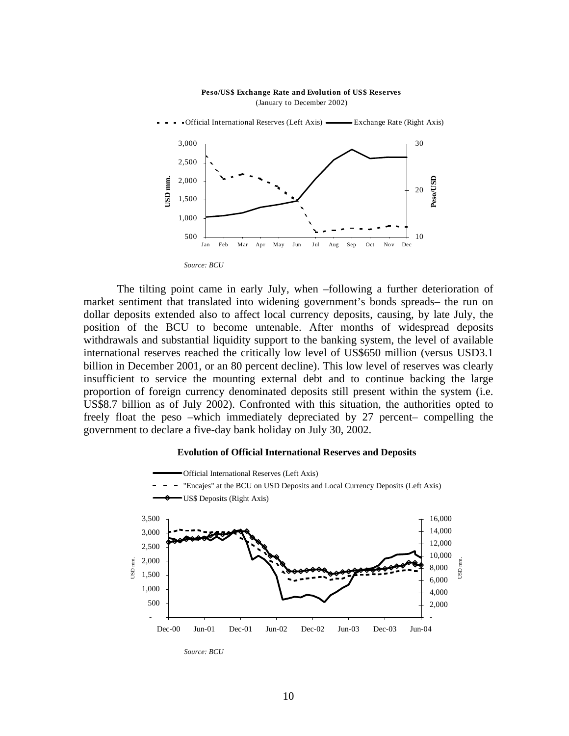#### **Peso/US\$ Exchange Rate and Evolution of US\$ Reserves**  (January to December 2002) Official International Reserves (Left Axis) ——————— Exchange Rate (Right Axis) 3,000 30 2,500 **Peso/USD** JSD<sub>mm</sub> **USD mm.** 2,000 Peso/USI 20 1,500 1,000

Jan Feb Mar Apr May Jun Jul Aug Sep Oct Nov Dec

10



500

The tilting point came in early July, when –following a further deterioration of market sentiment that translated into widening government's bonds spreads– the run on dollar deposits extended also to affect local currency deposits, causing, by late July, the position of the BCU to become untenable. After months of widespread deposits withdrawals and substantial liquidity support to the banking system, the level of available international reserves reached the critically low level of US\$650 million (versus USD3.1 billion in December 2001, or an 80 percent decline). This low level of reserves was clearly insufficient to service the mounting external debt and to continue backing the large proportion of foreign currency denominated deposits still present within the system (i.e. US\$8.7 billion as of July 2002). Confronted with this situation, the authorities opted to freely float the peso –which immediately depreciated by 27 percent– compelling the government to declare a five-day bank holiday on July 30, 2002.

#### **Evolution of Official International Reserves and Deposits**



*Source: BCU*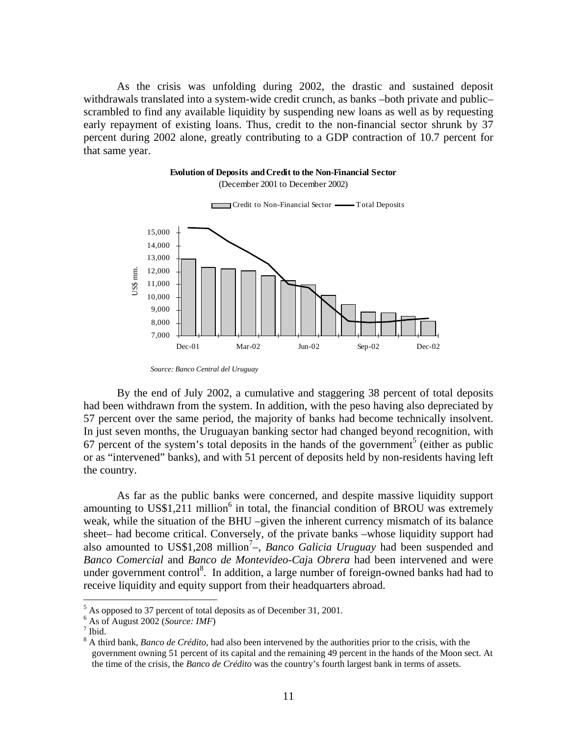As the crisis was unfolding during 2002, the drastic and sustained deposit withdrawals translated into a system-wide credit crunch, as banks –both private and public– scrambled to find any available liquidity by suspending new loans as well as by requesting early repayment of existing loans. Thus, credit to the non-financial sector shrunk by 37 percent during 2002 alone, greatly contributing to a GDP contraction of 10.7 percent for that same year.

#### **Evolution of Deposits and Credit to the Non-Financial Sector** (December 2001 to December 2002)



Credit to Non-Financial Sector - Total Deposits

By the end of July 2002, a cumulative and staggering 38 percent of total deposits had been withdrawn from the system. In addition, with the peso having also depreciated by 57 percent over the same period, the majority of banks had become technically insolvent. In just seven months, the Uruguayan banking sector had changed beyond recognition, with  $67$  percent of the system's total deposits in the hands of the government<sup>5</sup> (either as public or as "intervened" banks), and with 51 percent of deposits held by non-residents having left the country.

As far as the public banks were concerned, and despite massive liquidity support amounting to US\$1,211 million<sup>6</sup> in total, the financial condition of BROU was extremely weak, while the situation of the BHU –given the inherent currency mismatch of its balance sheet– had become critical. Conversely, of the private banks –whose liquidity support had also amounted to US\$1,208 million<sup>7</sup>–, *Banco Galicia Uruguay* had been suspended and *Banco Comercial* and *Banco de Montevideo-Caj*a *Obrera* had been intervened and were under government control<sup>8</sup>. In addition, a large number of foreign-owned banks had had to receive liquidity and equity support from their headquarters abroad.

1

*Source: Banco Central del Uruguay* 

 $<sup>5</sup>$  As opposed to 37 percent of total deposits as of December 31, 2001.</sup>

 $^{6}$  As of August 2002 (*Source: IMF*)

 $7$  Ibid.

<sup>&</sup>lt;sup>8</sup> A third bank, *Banco de Crédito*, had also been intervened by the authorities prior to the crisis, with the government owning 51 percent of its capital and the remaining 49 percent in the hands of the Moon sect. At the time of the crisis, the *Banco de Crédito* was the country's fourth largest bank in terms of assets.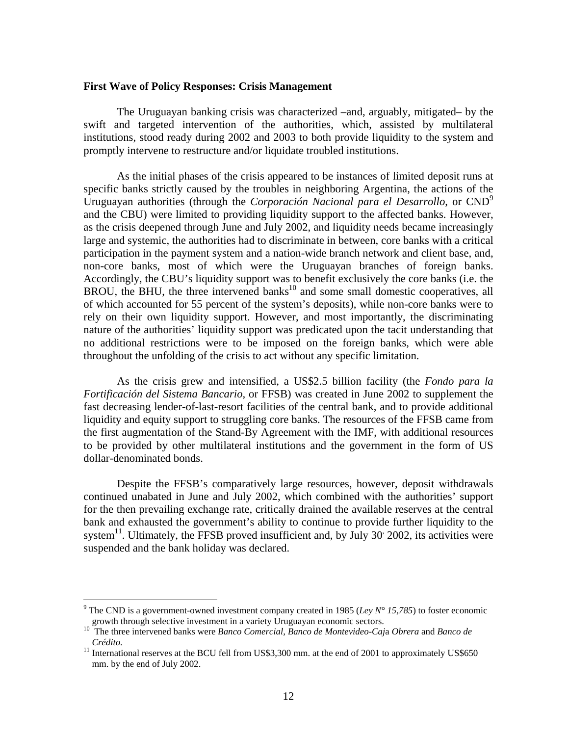#### **First Wave of Policy Responses: Crisis Management**

The Uruguayan banking crisis was characterized –and, arguably, mitigated– by the swift and targeted intervention of the authorities, which, assisted by multilateral institutions, stood ready during 2002 and 2003 to both provide liquidity to the system and promptly intervene to restructure and/or liquidate troubled institutions.

As the initial phases of the crisis appeared to be instances of limited deposit runs at specific banks strictly caused by the troubles in neighboring Argentina, the actions of the Uruguayan authorities (through the *Corporación Nacional para el Desarrollo*, or CND9 and the CBU) were limited to providing liquidity support to the affected banks. However, as the crisis deepened through June and July 2002, and liquidity needs became increasingly large and systemic, the authorities had to discriminate in between, core banks with a critical participation in the payment system and a nation-wide branch network and client base, and, non-core banks, most of which were the Uruguayan branches of foreign banks. Accordingly, the CBU's liquidity support was to benefit exclusively the core banks (i.e. the  $BROU$ , the BHU, the three intervened banks<sup>10</sup> and some small domestic cooperatives, all of which accounted for 55 percent of the system's deposits), while non-core banks were to rely on their own liquidity support. However, and most importantly, the discriminating nature of the authorities' liquidity support was predicated upon the tacit understanding that no additional restrictions were to be imposed on the foreign banks, which were able throughout the unfolding of the crisis to act without any specific limitation.

As the crisis grew and intensified, a US\$2.5 billion facility (the *Fondo para la Fortificación del Sistema Bancario,* or FFSB) was created in June 2002 to supplement the fast decreasing lender-of-last-resort facilities of the central bank, and to provide additional liquidity and equity support to struggling core banks. The resources of the FFSB came from the first augmentation of the Stand-By Agreement with the IMF, with additional resources to be provided by other multilateral institutions and the government in the form of US dollar-denominated bonds.

Despite the FFSB's comparatively large resources, however, deposit withdrawals continued unabated in June and July 2002, which combined with the authorities' support for the then prevailing exchange rate, critically drained the available reserves at the central bank and exhausted the government's ability to continue to provide further liquidity to the system<sup>11</sup>. Ultimately, the FFSB proved insufficient and, by July 30<sup>o</sup> 2002, its activities were suspended and the bank holiday was declared.

 $\overline{a}$ 

<sup>&</sup>lt;sup>9</sup> The CND is a government-owned investment company created in 1985 (*Ley N° 15,785*) to foster economic growth through selective investment in a variety Uruguayan economic sectors. 10 The three intervened banks were *Banco Comercial*, *Banco de Montevideo-Caj*a *Obrera* and *Banco de* 

*Crédito.* 11 International reserves at the BCU fell from US\$3,300 mm. at the end of 2001 to approximately US\$650

mm. by the end of July 2002.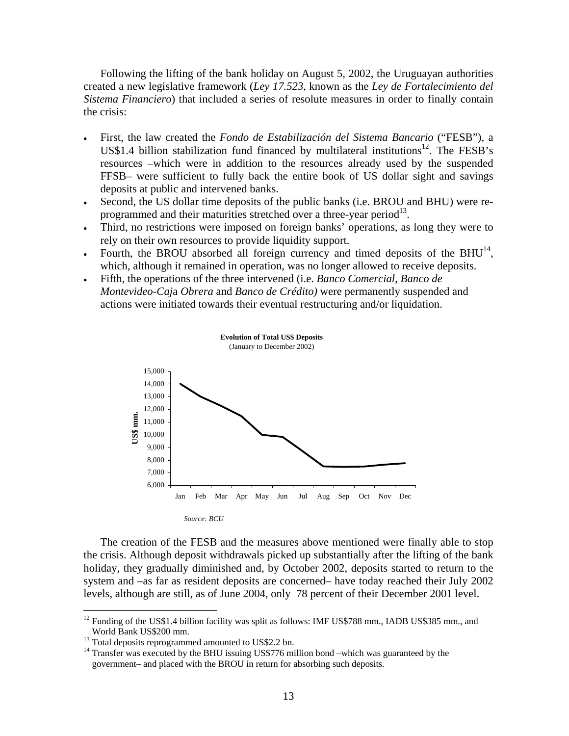Following the lifting of the bank holiday on August 5, 2002, the Uruguayan authorities created a new legislative framework (*Ley 17.523*, known as the *Ley de Fortalecimiento del Sistema Financiero*) that included a series of resolute measures in order to finally contain the crisis:

- First, the law created the *Fondo de Estabilización del Sistema Bancario* ("FESB"), a US\$1.4 billion stabilization fund financed by multilateral institutions<sup>12</sup>. The FESB's resources –which were in addition to the resources already used by the suspended FFSB– were sufficient to fully back the entire book of US dollar sight and savings deposits at public and intervened banks.
- Second, the US dollar time deposits of the public banks (i.e. BROU and BHU) were reprogrammed and their maturities stretched over a three-year period<sup>13</sup>.
- Third, no restrictions were imposed on foreign banks' operations, as long they were to rely on their own resources to provide liquidity support.
- Fourth, the BROU absorbed all foreign currency and timed deposits of the BHU $^{14}$ , which, although it remained in operation, was no longer allowed to receive deposits.
- Fifth, the operations of the three intervened (i.e. *Banco Comercial*, *Banco de Montevideo-Caj*a *Obrera* and *Banco de Crédito)* were permanently suspended and actions were initiated towards their eventual restructuring and/or liquidation.



The creation of the FESB and the measures above mentioned were finally able to stop the crisis. Although deposit withdrawals picked up substantially after the lifting of the bank holiday, they gradually diminished and, by October 2002, deposits started to return to the system and –as far as resident deposits are concerned– have today reached their July 2002 levels, although are still, as of June 2004, only 78 percent of their December 2001 level.

 $\overline{a}$ 

 $12$  Funding of the US\$1.4 billion facility was split as follows: IMF US\$788 mm., IADB US\$385 mm., and World Bank US\$200 mm.

 $13$  Total deposits reprogrammed amounted to US\$2.2 bn.

 $14$  Transfer was executed by the BHU issuing US\$776 million bond –which was guaranteed by the government– and placed with the BROU in return for absorbing such deposits.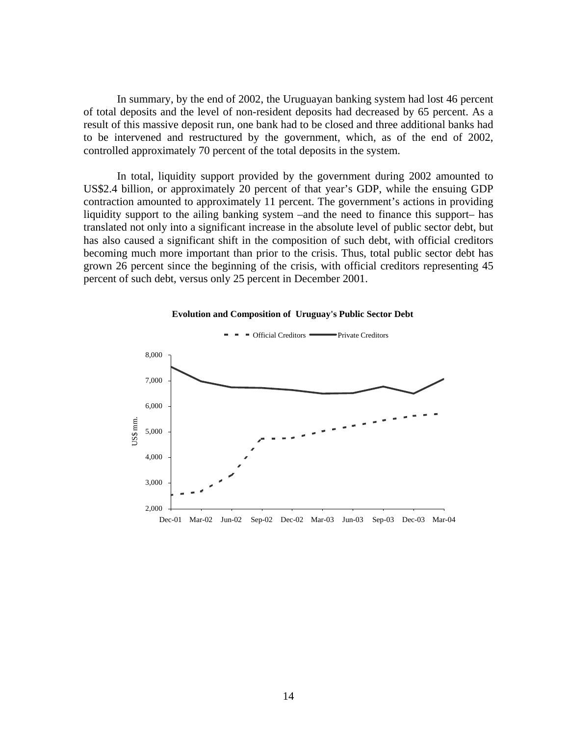In summary, by the end of 2002, the Uruguayan banking system had lost 46 percent of total deposits and the level of non-resident deposits had decreased by 65 percent. As a result of this massive deposit run, one bank had to be closed and three additional banks had to be intervened and restructured by the government, which, as of the end of 2002, controlled approximately 70 percent of the total deposits in the system.

In total, liquidity support provided by the government during 2002 amounted to US\$2.4 billion, or approximately 20 percent of that year's GDP, while the ensuing GDP contraction amounted to approximately 11 percent. The government's actions in providing liquidity support to the ailing banking system –and the need to finance this support– has translated not only into a significant increase in the absolute level of public sector debt, but has also caused a significant shift in the composition of such debt, with official creditors becoming much more important than prior to the crisis. Thus, total public sector debt has grown 26 percent since the beginning of the crisis, with official creditors representing 45 percent of such debt, versus only 25 percent in December 2001.



#### **Evolution and Composition of Uruguay's Public Sector Debt**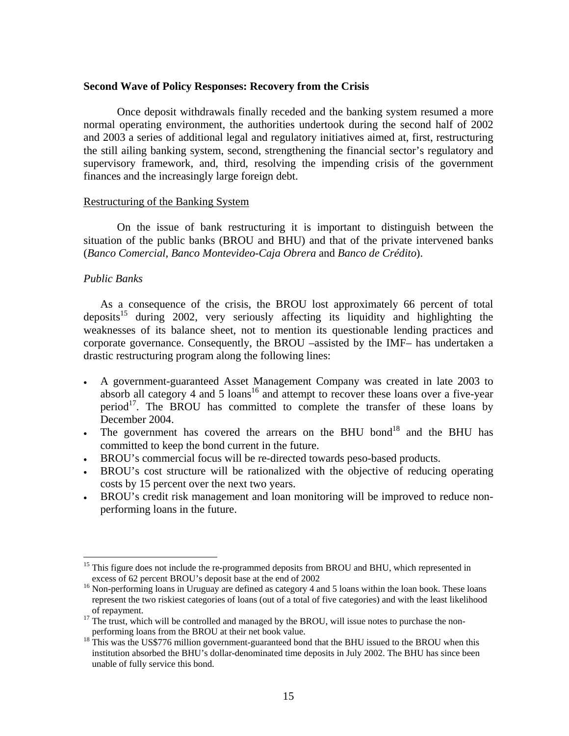#### **Second Wave of Policy Responses: Recovery from the Crisis**

Once deposit withdrawals finally receded and the banking system resumed a more normal operating environment, the authorities undertook during the second half of 2002 and 2003 a series of additional legal and regulatory initiatives aimed at, first, restructuring the still ailing banking system, second, strengthening the financial sector's regulatory and supervisory framework, and, third, resolving the impending crisis of the government finances and the increasingly large foreign debt.

#### Restructuring of the Banking System

On the issue of bank restructuring it is important to distinguish between the situation of the public banks (BROU and BHU) and that of the private intervened banks (*Banco Comercial*, *Banco Montevideo-Caja Obrera* and *Banco de Crédito*).

### *Public Banks*

1

As a consequence of the crisis, the BROU lost approximately 66 percent of total deposits<sup>15</sup> during 2002, very seriously affecting its liquidity and highlighting the weaknesses of its balance sheet, not to mention its questionable lending practices and corporate governance. Consequently, the BROU –assisted by the IMF– has undertaken a drastic restructuring program along the following lines:

- A government-guaranteed Asset Management Company was created in late 2003 to absorb all category 4 and 5 loans<sup>16</sup> and attempt to recover these loans over a five-year period<sup>17</sup>. The BROU has committed to complete the transfer of these loans by December 2004.
- The government has covered the arrears on the BHU bond<sup>18</sup> and the BHU has committed to keep the bond current in the future.
- BROU's commercial focus will be re-directed towards peso-based products.
- BROU's cost structure will be rationalized with the objective of reducing operating costs by 15 percent over the next two years.
- BROU's credit risk management and loan monitoring will be improved to reduce nonperforming loans in the future.

<sup>&</sup>lt;sup>15</sup> This figure does not include the re-programmed deposits from BROU and BHU, which represented in excess of 62 percent BROU's deposit base at the end of  $2002$ 

<sup>&</sup>lt;sup>16</sup> Non-performing loans in Uruguay are defined as category 4 and 5 loans within the loan book. These loans represent the two riskiest categories of loans (out of a total of five categories) and with the least likelihood

<sup>&</sup>lt;sup>17</sup> The trust, which will be controlled and managed by the BROU, will issue notes to purchase the non-<br>performing loans from the BROU at their net book value.

<sup>&</sup>lt;sup>18</sup> This was the US\$776 million government-guaranteed bond that the BHU issued to the BROU when this institution absorbed the BHU's dollar-denominated time deposits in July 2002. The BHU has since been unable of fully service this bond.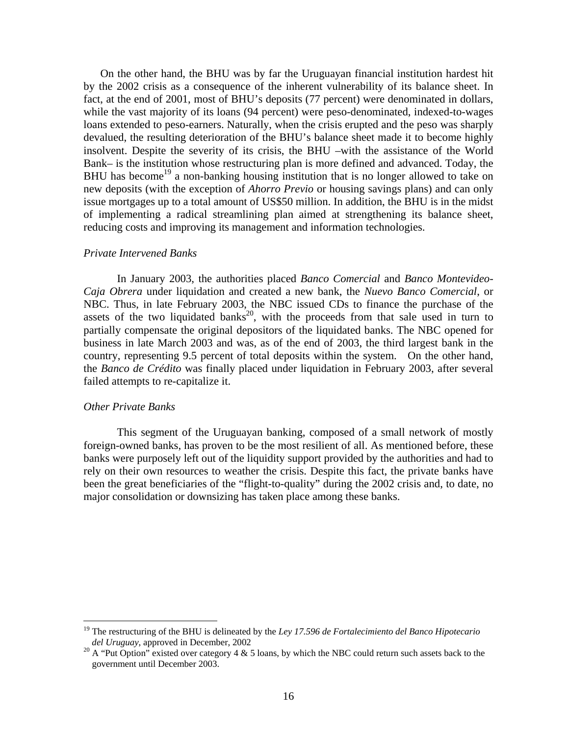On the other hand, the BHU was by far the Uruguayan financial institution hardest hit by the 2002 crisis as a consequence of the inherent vulnerability of its balance sheet. In fact, at the end of 2001, most of BHU's deposits (77 percent) were denominated in dollars, while the vast majority of its loans (94 percent) were peso-denominated, indexed-to-wages loans extended to peso-earners. Naturally, when the crisis erupted and the peso was sharply devalued, the resulting deterioration of the BHU's balance sheet made it to become highly insolvent. Despite the severity of its crisis, the BHU –with the assistance of the World Bank– is the institution whose restructuring plan is more defined and advanced. Today, the BHU has become<sup>19</sup> a non-banking housing institution that is no longer allowed to take on new deposits (with the exception of *Ahorro Previo* or housing savings plans) and can only issue mortgages up to a total amount of US\$50 million. In addition, the BHU is in the midst of implementing a radical streamlining plan aimed at strengthening its balance sheet, reducing costs and improving its management and information technologies.

#### *Private Intervened Banks*

In January 2003, the authorities placed *Banco Comercial* and *Banco Montevideo-Caja Obrera* under liquidation and created a new bank, the *Nuevo Banco Comercial*, or NBC. Thus, in late February 2003, the NBC issued CDs to finance the purchase of the assets of the two liquidated banks<sup>20</sup>, with the proceeds from that sale used in turn to partially compensate the original depositors of the liquidated banks. The NBC opened for business in late March 2003 and was, as of the end of 2003, the third largest bank in the country, representing 9.5 percent of total deposits within the system. On the other hand, the *Banco de Crédito* was finally placed under liquidation in February 2003, after several failed attempts to re-capitalize it.

#### *Other Private Banks*

 $\overline{a}$ 

This segment of the Uruguayan banking, composed of a small network of mostly foreign-owned banks, has proven to be the most resilient of all. As mentioned before, these banks were purposely left out of the liquidity support provided by the authorities and had to rely on their own resources to weather the crisis. Despite this fact, the private banks have been the great beneficiaries of the "flight-to-quality" during the 2002 crisis and, to date, no major consolidation or downsizing has taken place among these banks.

<sup>&</sup>lt;sup>19</sup> The restructuring of the BHU is delineated by the *Ley 17.596 de Fortalecimiento del Banco Hipotecario del Uruguay*, approved in December, 2002

<sup>&</sup>lt;sup>20</sup> A "Put Option" existed over category 4 & 5 loans, by which the NBC could return such assets back to the government until December 2003.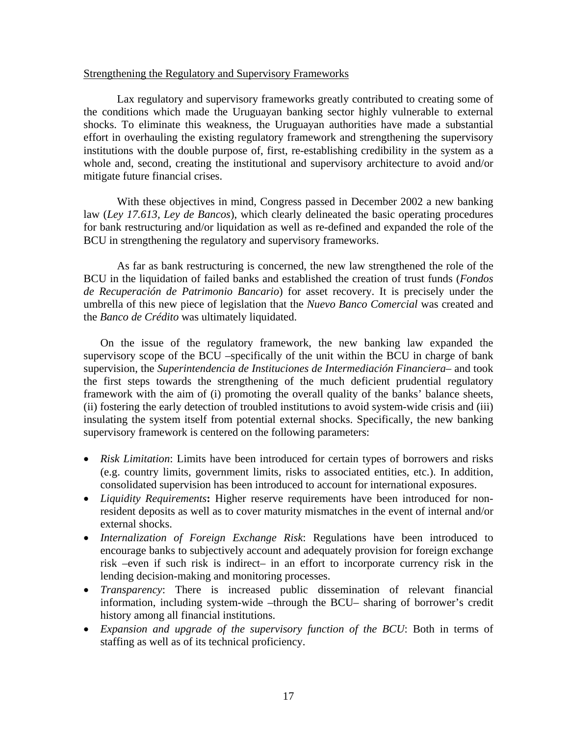## Strengthening the Regulatory and Supervisory Frameworks

Lax regulatory and supervisory frameworks greatly contributed to creating some of the conditions which made the Uruguayan banking sector highly vulnerable to external shocks. To eliminate this weakness, the Uruguayan authorities have made a substantial effort in overhauling the existing regulatory framework and strengthening the supervisory institutions with the double purpose of, first, re-establishing credibility in the system as a whole and, second, creating the institutional and supervisory architecture to avoid and/or mitigate future financial crises.

With these objectives in mind, Congress passed in December 2002 a new banking law (*Ley 17.613, Ley de Bancos*), which clearly delineated the basic operating procedures for bank restructuring and/or liquidation as well as re-defined and expanded the role of the BCU in strengthening the regulatory and supervisory frameworks.

As far as bank restructuring is concerned, the new law strengthened the role of the BCU in the liquidation of failed banks and established the creation of trust funds (*Fondos de Recuperación de Patrimonio Bancario*) for asset recovery. It is precisely under the umbrella of this new piece of legislation that the *Nuevo Banco Comercial* was created and the *Banco de Crédito* was ultimately liquidated.

On the issue of the regulatory framework, the new banking law expanded the supervisory scope of the BCU –specifically of the unit within the BCU in charge of bank supervision, the *Superintendencia de Instituciones de Intermediación Financiera*– and took the first steps towards the strengthening of the much deficient prudential regulatory framework with the aim of (i) promoting the overall quality of the banks' balance sheets, (ii) fostering the early detection of troubled institutions to avoid system-wide crisis and (iii) insulating the system itself from potential external shocks. Specifically, the new banking supervisory framework is centered on the following parameters:

- *Risk Limitation*: Limits have been introduced for certain types of borrowers and risks (e.g. country limits, government limits, risks to associated entities, etc.). In addition, consolidated supervision has been introduced to account for international exposures.
- *Liquidity Requirements***:** Higher reserve requirements have been introduced for nonresident deposits as well as to cover maturity mismatches in the event of internal and/or external shocks.
- *Internalization of Foreign Exchange Risk*: Regulations have been introduced to encourage banks to subjectively account and adequately provision for foreign exchange risk –even if such risk is indirect– in an effort to incorporate currency risk in the lending decision-making and monitoring processes.
- *Transparency*: There is increased public dissemination of relevant financial information, including system-wide –through the BCU– sharing of borrower's credit history among all financial institutions.
- *Expansion and upgrade of the supervisory function of the BCU*: Both in terms of staffing as well as of its technical proficiency.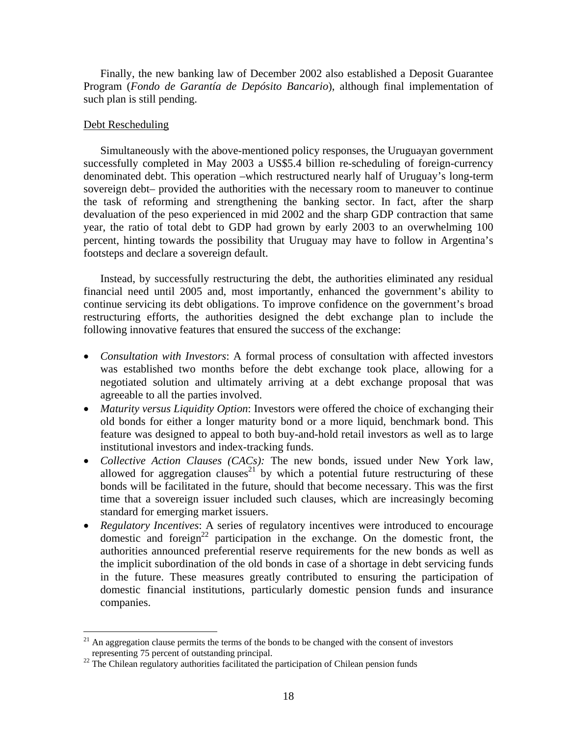Finally, the new banking law of December 2002 also established a Deposit Guarantee Program (*Fondo de Garantía de Depósito Bancario*), although final implementation of such plan is still pending.

## Debt Rescheduling

 $\overline{a}$ 

Simultaneously with the above-mentioned policy responses, the Uruguayan government successfully completed in May 2003 a US\$5.4 billion re-scheduling of foreign-currency denominated debt. This operation –which restructured nearly half of Uruguay's long-term sovereign debt– provided the authorities with the necessary room to maneuver to continue the task of reforming and strengthening the banking sector. In fact, after the sharp devaluation of the peso experienced in mid 2002 and the sharp GDP contraction that same year, the ratio of total debt to GDP had grown by early 2003 to an overwhelming 100 percent, hinting towards the possibility that Uruguay may have to follow in Argentina's footsteps and declare a sovereign default.

Instead, by successfully restructuring the debt, the authorities eliminated any residual financial need until 2005 and, most importantly, enhanced the government's ability to continue servicing its debt obligations. To improve confidence on the government's broad restructuring efforts, the authorities designed the debt exchange plan to include the following innovative features that ensured the success of the exchange:

- *Consultation with Investors*: A formal process of consultation with affected investors was established two months before the debt exchange took place, allowing for a negotiated solution and ultimately arriving at a debt exchange proposal that was agreeable to all the parties involved.
- *Maturity versus Liquidity Option*: Investors were offered the choice of exchanging their old bonds for either a longer maturity bond or a more liquid, benchmark bond. This feature was designed to appeal to both buy-and-hold retail investors as well as to large institutional investors and index-tracking funds.
- *Collective Action Clauses (CACs):* The new bonds, issued under New York law, allowed for aggregation clauses<sup>21</sup> by which a potential future restructuring of these bonds will be facilitated in the future, should that become necessary. This was the first time that a sovereign issuer included such clauses, which are increasingly becoming standard for emerging market issuers.
- *Regulatory Incentives*: A series of regulatory incentives were introduced to encourage domestic and foreign<sup>22</sup> participation in the exchange. On the domestic front, the authorities announced preferential reserve requirements for the new bonds as well as the implicit subordination of the old bonds in case of a shortage in debt servicing funds in the future. These measures greatly contributed to ensuring the participation of domestic financial institutions, particularly domestic pension funds and insurance companies.

 $21$  An aggregation clause permits the terms of the bonds to be changed with the consent of investors representing 75 percent of outstanding principal. 22 The Chilean regulatory authorities facilitated the participation of Chilean pension funds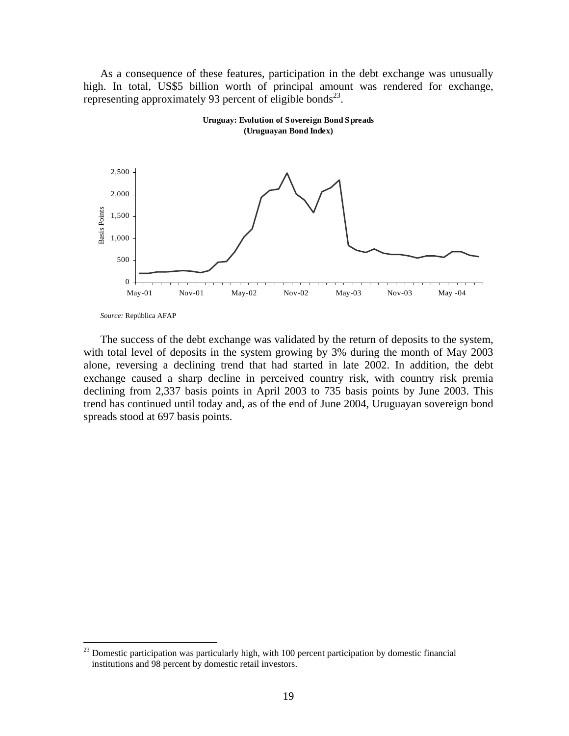As a consequence of these features, participation in the debt exchange was unusually high. In total, US\$5 billion worth of principal amount was rendered for exchange, representing approximately 93 percent of eligible bonds<sup>23</sup>.





 $\overline{a}$ 

The success of the debt exchange was validated by the return of deposits to the system, with total level of deposits in the system growing by 3% during the month of May 2003 alone, reversing a declining trend that had started in late 2002. In addition, the debt exchange caused a sharp decline in perceived country risk, with country risk premia declining from 2,337 basis points in April 2003 to 735 basis points by June 2003. This trend has continued until today and, as of the end of June 2004, Uruguayan sovereign bond spreads stood at 697 basis points.

*Source:* República AFAP

 $2<sup>23</sup>$  Domestic participation was particularly high, with 100 percent participation by domestic financial institutions and 98 percent by domestic retail investors.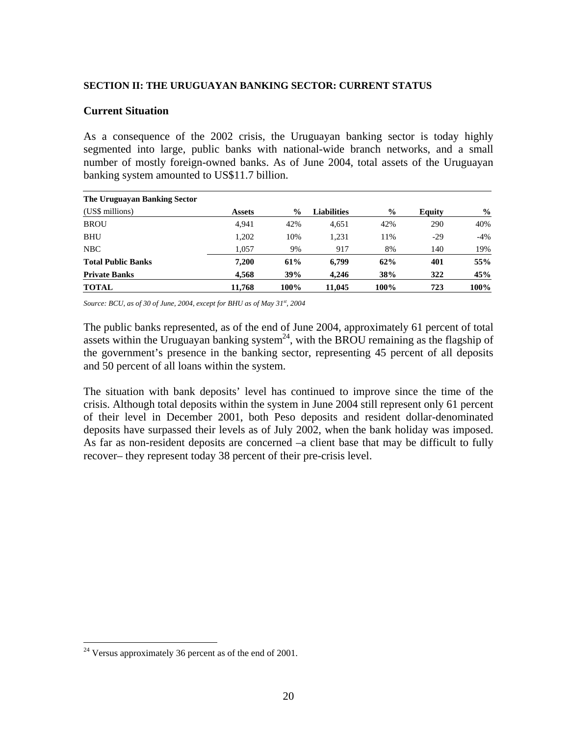#### **SECTION II: THE URUGUAYAN BANKING SECTOR: CURRENT STATUS**

### **Current Situation**

As a consequence of the 2002 crisis, the Uruguayan banking sector is today highly segmented into large, public banks with national-wide branch networks, and a small number of mostly foreign-owned banks. As of June 2004, total assets of the Uruguayan banking system amounted to US\$11.7 billion.

| The Uruguayan Banking Sector |               |               |                    |               |        |               |
|------------------------------|---------------|---------------|--------------------|---------------|--------|---------------|
| (US\$ millions)              | <b>Assets</b> | $\frac{0}{0}$ | <b>Liabilities</b> | $\frac{0}{0}$ | Equity | $\frac{0}{0}$ |
| <b>BROU</b>                  | 4.941         | 42%           | 4.651              | 42%           | 290    | 40%           |
| <b>BHU</b>                   | 1,202         | 10%           | 1,231              | 11%           | $-29$  | -4%           |
| NBC                          | 1.057         | 9%            | 917                | 8%            | 140    | 19%           |
| <b>Total Public Banks</b>    | 7.200         | 61%           | 6,799              | 62%           | 401    | 55%           |
| <b>Private Banks</b>         | 4.568         | 39%           | 4.246              | 38%           | 322    | 45%           |
| <b>TOTAL</b>                 | 11.768        | 100%          | 11,045             | 100%          | 723    | 100%          |

*Source: BCU, as of 30 of June, 2004, except for BHU as of May 31st, 2004* 

The public banks represented, as of the end of June 2004, approximately 61 percent of total assets within the Uruguayan banking system<sup>24</sup>, with the BROU remaining as the flagship of the government's presence in the banking sector, representing 45 percent of all deposits and 50 percent of all loans within the system.

The situation with bank deposits' level has continued to improve since the time of the crisis. Although total deposits within the system in June 2004 still represent only 61 percent of their level in December 2001, both Peso deposits and resident dollar-denominated deposits have surpassed their levels as of July 2002, when the bank holiday was imposed. As far as non-resident deposits are concerned –a client base that may be difficult to fully recover– they represent today 38 percent of their pre-crisis level.

 $\overline{a}$ 

 $24$  Versus approximately 36 percent as of the end of 2001.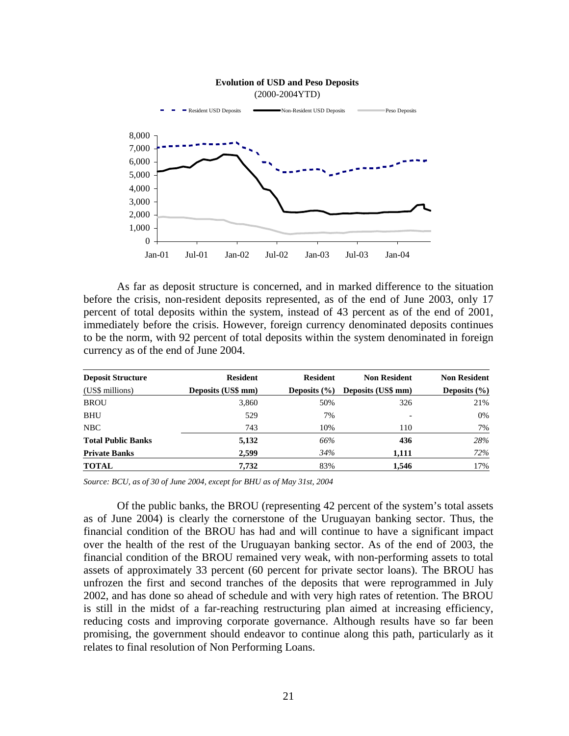

As far as deposit structure is concerned, and in marked difference to the situation before the crisis, non-resident deposits represented, as of the end of June 2003, only 17 percent of total deposits within the system, instead of 43 percent as of the end of 2001, immediately before the crisis. However, foreign currency denominated deposits continues to be the norm, with 92 percent of total deposits within the system denominated in foreign currency as of the end of June 2004.

| <b>Deposit Structure</b>  | <b>Resident</b>    | <b>Resident</b>  | <b>Non Resident</b> | <b>Non Resident</b> |
|---------------------------|--------------------|------------------|---------------------|---------------------|
| (US\$ millions)           | Deposits (US\$ mm) | Deposits $(\% )$ | Deposits (US\$ mm)  | Deposits $(\% )$    |
| <b>BROU</b>               | 3,860              | 50%              | 326                 | 21%                 |
| <b>BHU</b>                | 529                | 7%               |                     | 0%                  |
| NBC                       | 743                | 10%              | 110                 | 7%                  |
| <b>Total Public Banks</b> | 5,132              | 66%              | 436                 | 28%                 |
| <b>Private Banks</b>      | 2,599              | 34%              | 1,111               | 72%                 |
| <b>TOTAL</b>              | 7,732              | 83%              | 1.546               | 17%                 |

*Source: BCU, as of 30 of June 2004, except for BHU as of May 31st, 2004* 

Of the public banks, the BROU (representing 42 percent of the system's total assets as of June 2004) is clearly the cornerstone of the Uruguayan banking sector. Thus, the financial condition of the BROU has had and will continue to have a significant impact over the health of the rest of the Uruguayan banking sector. As of the end of 2003, the financial condition of the BROU remained very weak, with non-performing assets to total assets of approximately 33 percent (60 percent for private sector loans). The BROU has unfrozen the first and second tranches of the deposits that were reprogrammed in July 2002, and has done so ahead of schedule and with very high rates of retention. The BROU is still in the midst of a far-reaching restructuring plan aimed at increasing efficiency, reducing costs and improving corporate governance. Although results have so far been promising, the government should endeavor to continue along this path, particularly as it relates to final resolution of Non Performing Loans.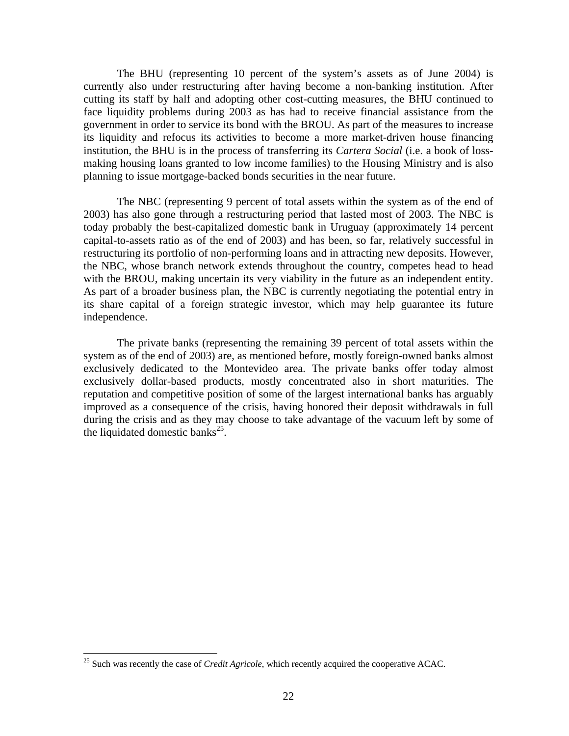The BHU (representing 10 percent of the system's assets as of June 2004) is currently also under restructuring after having become a non-banking institution. After cutting its staff by half and adopting other cost-cutting measures, the BHU continued to face liquidity problems during 2003 as has had to receive financial assistance from the government in order to service its bond with the BROU. As part of the measures to increase its liquidity and refocus its activities to become a more market-driven house financing institution, the BHU is in the process of transferring its *Cartera Social* (i.e. a book of lossmaking housing loans granted to low income families) to the Housing Ministry and is also planning to issue mortgage-backed bonds securities in the near future.

The NBC (representing 9 percent of total assets within the system as of the end of 2003) has also gone through a restructuring period that lasted most of 2003. The NBC is today probably the best-capitalized domestic bank in Uruguay (approximately 14 percent capital-to-assets ratio as of the end of 2003) and has been, so far, relatively successful in restructuring its portfolio of non-performing loans and in attracting new deposits. However, the NBC, whose branch network extends throughout the country, competes head to head with the BROU, making uncertain its very viability in the future as an independent entity. As part of a broader business plan, the NBC is currently negotiating the potential entry in its share capital of a foreign strategic investor, which may help guarantee its future independence.

The private banks (representing the remaining 39 percent of total assets within the system as of the end of 2003) are, as mentioned before, mostly foreign-owned banks almost exclusively dedicated to the Montevideo area. The private banks offer today almost exclusively dollar-based products, mostly concentrated also in short maturities. The reputation and competitive position of some of the largest international banks has arguably improved as a consequence of the crisis, having honored their deposit withdrawals in full during the crisis and as they may choose to take advantage of the vacuum left by some of the liquidated domestic banks<sup>25</sup>.

 $\overline{a}$ 

<sup>&</sup>lt;sup>25</sup> Such was recently the case of *Credit Agricole*, which recently acquired the cooperative ACAC.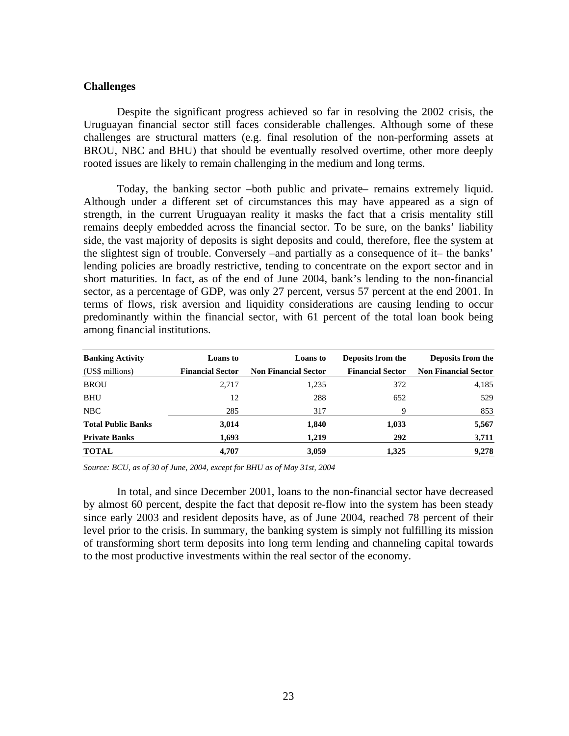## **Challenges**

Despite the significant progress achieved so far in resolving the 2002 crisis, the Uruguayan financial sector still faces considerable challenges. Although some of these challenges are structural matters (e.g. final resolution of the non-performing assets at BROU, NBC and BHU) that should be eventually resolved overtime, other more deeply rooted issues are likely to remain challenging in the medium and long terms.

Today, the banking sector –both public and private– remains extremely liquid. Although under a different set of circumstances this may have appeared as a sign of strength, in the current Uruguayan reality it masks the fact that a crisis mentality still remains deeply embedded across the financial sector. To be sure, on the banks' liability side, the vast majority of deposits is sight deposits and could, therefore, flee the system at the slightest sign of trouble. Conversely –and partially as a consequence of it– the banks' lending policies are broadly restrictive, tending to concentrate on the export sector and in short maturities. In fact, as of the end of June 2004, bank's lending to the non-financial sector, as a percentage of GDP, was only 27 percent, versus 57 percent at the end 2001. In terms of flows, risk aversion and liquidity considerations are causing lending to occur predominantly within the financial sector, with 61 percent of the total loan book being among financial institutions.

| <b>Banking Activity</b>   | <b>Loans</b> to         | <b>Loans</b> to             | Deposits from the       | Deposits from the           |
|---------------------------|-------------------------|-----------------------------|-------------------------|-----------------------------|
| (US\$ millions)           | <b>Financial Sector</b> | <b>Non Financial Sector</b> | <b>Financial Sector</b> | <b>Non Financial Sector</b> |
| <b>BROU</b>               | 2,717                   | 1,235                       | 372                     | 4,185                       |
| <b>BHU</b>                | 12                      | 288                         | 652                     | 529                         |
| NBC                       | 285                     | 317                         | 9                       | 853                         |
| <b>Total Public Banks</b> | 3,014                   | 1,840                       | 1,033                   | 5,567                       |
| <b>Private Banks</b>      | 1.693                   | 1.219                       | 292                     | 3,711                       |
| <b>TOTAL</b>              | 4,707                   | 3,059                       | 1,325                   | 9,278                       |

*Source: BCU, as of 30 of June, 2004, except for BHU as of May 31st, 2004* 

In total, and since December 2001, loans to the non-financial sector have decreased by almost 60 percent, despite the fact that deposit re-flow into the system has been steady since early 2003 and resident deposits have, as of June 2004, reached 78 percent of their level prior to the crisis. In summary, the banking system is simply not fulfilling its mission of transforming short term deposits into long term lending and channeling capital towards to the most productive investments within the real sector of the economy.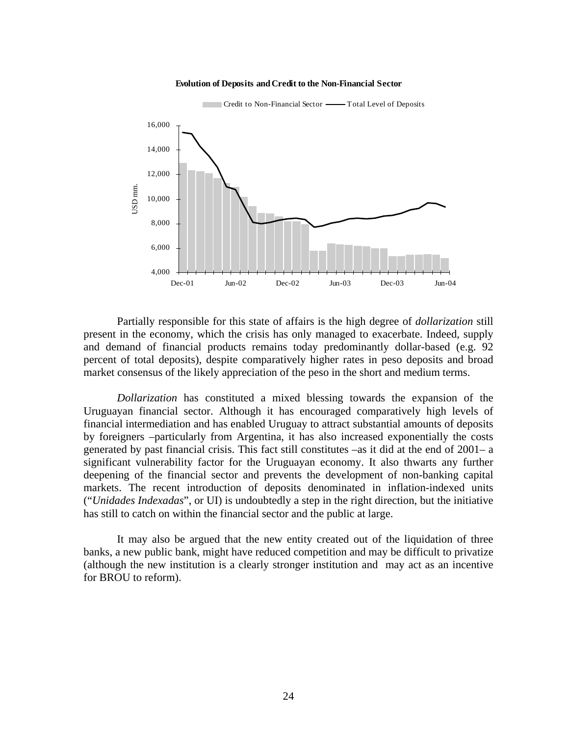



Partially responsible for this state of affairs is the high degree of *dollarization* still present in the economy, which the crisis has only managed to exacerbate. Indeed, supply and demand of financial products remains today predominantly dollar-based (e.g. 92 percent of total deposits), despite comparatively higher rates in peso deposits and broad market consensus of the likely appreciation of the peso in the short and medium terms.

*Dollarization* has constituted a mixed blessing towards the expansion of the Uruguayan financial sector. Although it has encouraged comparatively high levels of financial intermediation and has enabled Uruguay to attract substantial amounts of deposits by foreigners –particularly from Argentina, it has also increased exponentially the costs generated by past financial crisis. This fact still constitutes –as it did at the end of 2001– a significant vulnerability factor for the Uruguayan economy. It also thwarts any further deepening of the financial sector and prevents the development of non-banking capital markets. The recent introduction of deposits denominated in inflation-indexed units ("*Unidades Indexadas*", or UI) is undoubtedly a step in the right direction, but the initiative has still to catch on within the financial sector and the public at large.

It may also be argued that the new entity created out of the liquidation of three banks, a new public bank, might have reduced competition and may be difficult to privatize (although the new institution is a clearly stronger institution and may act as an incentive for BROU to reform).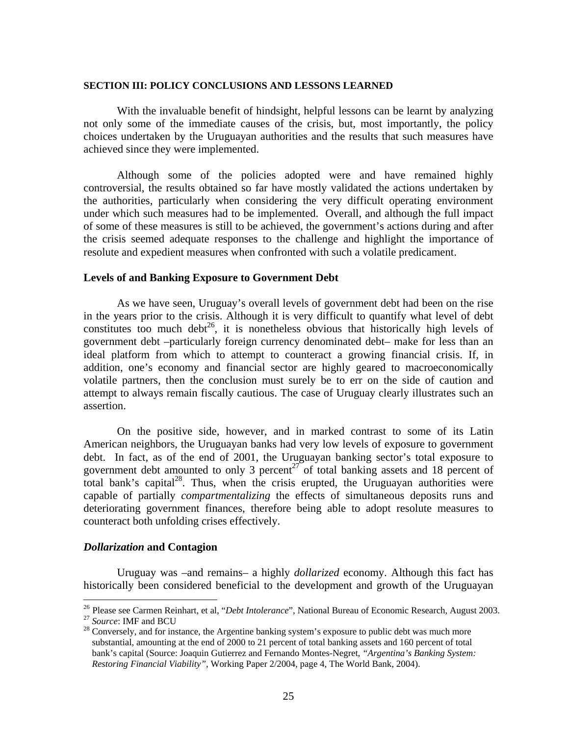#### **SECTION III: POLICY CONCLUSIONS AND LESSONS LEARNED**

With the invaluable benefit of hindsight, helpful lessons can be learnt by analyzing not only some of the immediate causes of the crisis, but, most importantly, the policy choices undertaken by the Uruguayan authorities and the results that such measures have achieved since they were implemented.

Although some of the policies adopted were and have remained highly controversial, the results obtained so far have mostly validated the actions undertaken by the authorities, particularly when considering the very difficult operating environment under which such measures had to be implemented. Overall, and although the full impact of some of these measures is still to be achieved, the government's actions during and after the crisis seemed adequate responses to the challenge and highlight the importance of resolute and expedient measures when confronted with such a volatile predicament.

#### **Levels of and Banking Exposure to Government Debt**

As we have seen, Uruguay's overall levels of government debt had been on the rise in the years prior to the crisis. Although it is very difficult to quantify what level of debt constitutes too much debt<sup>26</sup>, it is nonetheless obvious that historically high levels of government debt –particularly foreign currency denominated debt– make for less than an ideal platform from which to attempt to counteract a growing financial crisis. If, in addition, one's economy and financial sector are highly geared to macroeconomically volatile partners, then the conclusion must surely be to err on the side of caution and attempt to always remain fiscally cautious. The case of Uruguay clearly illustrates such an assertion.

On the positive side, however, and in marked contrast to some of its Latin American neighbors, the Uruguayan banks had very low levels of exposure to government debt. In fact, as of the end of 2001, the Uruguayan banking sector's total exposure to government debt amounted to only 3 percent $27$  of total banking assets and 18 percent of total bank's capital<sup>28</sup>. Thus, when the crisis erupted, the Uruguayan authorities were capable of partially *compartmentalizing* the effects of simultaneous deposits runs and deteriorating government finances, therefore being able to adopt resolute measures to counteract both unfolding crises effectively.

### *Dollarization* **and Contagion**

Uruguay was –and remains– a highly *dollarized* economy. Although this fact has historically been considered beneficial to the development and growth of the Uruguayan

 $\overline{a}$ 

<sup>&</sup>lt;sup>26</sup> Please see Carmen Reinhart, et al, "*Debt Intolerance*", National Bureau of Economic Research, August 2003.<br><sup>27</sup> Source: IMF and BCU<br><sup>28</sup> Conversely, and for instance, the Argentine banking system's exposure to public

substantial, amounting at the end of 2000 to 21 percent of total banking assets and 160 percent of total bank's capital (Source: Joaquin Gutierrez and Fernando Montes-Negret*, "Argentina's Banking System: Restoring Financial Viability"*, Working Paper 2/2004, page 4, The World Bank, 2004).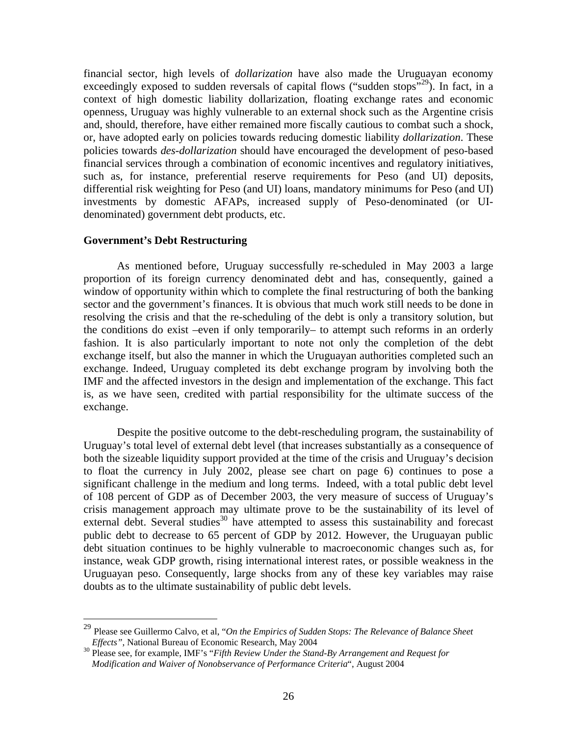financial sector, high levels of *dollarization* have also made the Uruguayan economy exceedingly exposed to sudden reversals of capital flows ("sudden stops"<sup>29</sup>). In fact, in a context of high domestic liability dollarization, floating exchange rates and economic openness, Uruguay was highly vulnerable to an external shock such as the Argentine crisis and, should, therefore, have either remained more fiscally cautious to combat such a shock, or, have adopted early on policies towards reducing domestic liability *dollarization*. These policies towards *des-dollarization* should have encouraged the development of peso-based financial services through a combination of economic incentives and regulatory initiatives, such as, for instance, preferential reserve requirements for Peso (and UI) deposits, differential risk weighting for Peso (and UI) loans, mandatory minimums for Peso (and UI) investments by domestic AFAPs, increased supply of Peso-denominated (or UIdenominated) government debt products, etc.

## **Government's Debt Restructuring**

 $\overline{a}$ 

As mentioned before, Uruguay successfully re-scheduled in May 2003 a large proportion of its foreign currency denominated debt and has, consequently, gained a window of opportunity within which to complete the final restructuring of both the banking sector and the government's finances. It is obvious that much work still needs to be done in resolving the crisis and that the re-scheduling of the debt is only a transitory solution, but the conditions do exist –even if only temporarily– to attempt such reforms in an orderly fashion. It is also particularly important to note not only the completion of the debt exchange itself, but also the manner in which the Uruguayan authorities completed such an exchange. Indeed, Uruguay completed its debt exchange program by involving both the IMF and the affected investors in the design and implementation of the exchange. This fact is, as we have seen, credited with partial responsibility for the ultimate success of the exchange.

Despite the positive outcome to the debt-rescheduling program, the sustainability of Uruguay's total level of external debt level (that increases substantially as a consequence of both the sizeable liquidity support provided at the time of the crisis and Uruguay's decision to float the currency in July 2002, please see chart on page 6) continues to pose a significant challenge in the medium and long terms. Indeed, with a total public debt level of 108 percent of GDP as of December 2003, the very measure of success of Uruguay's crisis management approach may ultimate prove to be the sustainability of its level of external debt. Several studies<sup>30</sup> have attempted to assess this sustainability and forecast public debt to decrease to 65 percent of GDP by 2012. However, the Uruguayan public debt situation continues to be highly vulnerable to macroeconomic changes such as, for instance, weak GDP growth, rising international interest rates, or possible weakness in the Uruguayan peso. Consequently, large shocks from any of these key variables may raise doubts as to the ultimate sustainability of public debt levels.

<sup>29</sup> Please see Guillermo Calvo, et al, "*On the Empirics of Sudden Stops: The Relevance of Balance Sheet Effects"*, National Bureau of Economic Research, May 2004<br><sup>30</sup> Please see, for example, IMF's "*Fifth Review Under the Stand-By Arrangement and Request for* 

*Modification and Waiver of Nonobservance of Performance Criteria*", August 2004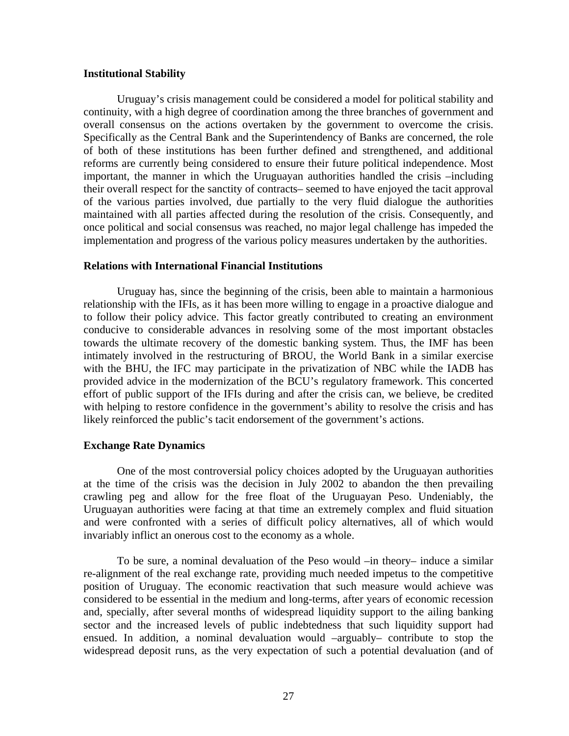#### **Institutional Stability**

Uruguay's crisis management could be considered a model for political stability and continuity, with a high degree of coordination among the three branches of government and overall consensus on the actions overtaken by the government to overcome the crisis. Specifically as the Central Bank and the Superintendency of Banks are concerned, the role of both of these institutions has been further defined and strengthened, and additional reforms are currently being considered to ensure their future political independence. Most important, the manner in which the Uruguayan authorities handled the crisis –including their overall respect for the sanctity of contracts– seemed to have enjoyed the tacit approval of the various parties involved, due partially to the very fluid dialogue the authorities maintained with all parties affected during the resolution of the crisis. Consequently, and once political and social consensus was reached, no major legal challenge has impeded the implementation and progress of the various policy measures undertaken by the authorities.

## **Relations with International Financial Institutions**

Uruguay has, since the beginning of the crisis, been able to maintain a harmonious relationship with the IFIs, as it has been more willing to engage in a proactive dialogue and to follow their policy advice. This factor greatly contributed to creating an environment conducive to considerable advances in resolving some of the most important obstacles towards the ultimate recovery of the domestic banking system. Thus, the IMF has been intimately involved in the restructuring of BROU, the World Bank in a similar exercise with the BHU, the IFC may participate in the privatization of NBC while the IADB has provided advice in the modernization of the BCU's regulatory framework. This concerted effort of public support of the IFIs during and after the crisis can, we believe, be credited with helping to restore confidence in the government's ability to resolve the crisis and has likely reinforced the public's tacit endorsement of the government's actions.

#### **Exchange Rate Dynamics**

 One of the most controversial policy choices adopted by the Uruguayan authorities at the time of the crisis was the decision in July 2002 to abandon the then prevailing crawling peg and allow for the free float of the Uruguayan Peso. Undeniably, the Uruguayan authorities were facing at that time an extremely complex and fluid situation and were confronted with a series of difficult policy alternatives, all of which would invariably inflict an onerous cost to the economy as a whole.

To be sure, a nominal devaluation of the Peso would –in theory– induce a similar re-alignment of the real exchange rate, providing much needed impetus to the competitive position of Uruguay. The economic reactivation that such measure would achieve was considered to be essential in the medium and long-terms, after years of economic recession and, specially, after several months of widespread liquidity support to the ailing banking sector and the increased levels of public indebtedness that such liquidity support had ensued. In addition, a nominal devaluation would –arguably– contribute to stop the widespread deposit runs, as the very expectation of such a potential devaluation (and of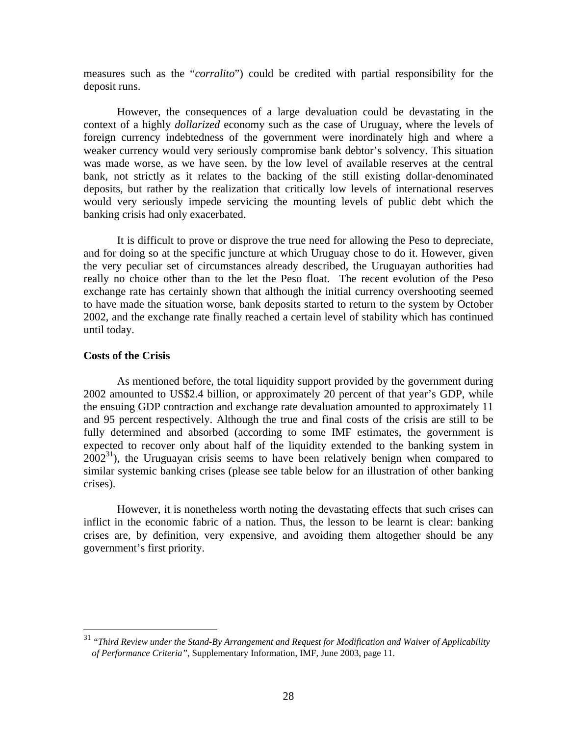measures such as the "*corralito*") could be credited with partial responsibility for the deposit runs.

However, the consequences of a large devaluation could be devastating in the context of a highly *dollarized* economy such as the case of Uruguay, where the levels of foreign currency indebtedness of the government were inordinately high and where a weaker currency would very seriously compromise bank debtor's solvency. This situation was made worse, as we have seen, by the low level of available reserves at the central bank, not strictly as it relates to the backing of the still existing dollar-denominated deposits, but rather by the realization that critically low levels of international reserves would very seriously impede servicing the mounting levels of public debt which the banking crisis had only exacerbated.

It is difficult to prove or disprove the true need for allowing the Peso to depreciate, and for doing so at the specific juncture at which Uruguay chose to do it. However, given the very peculiar set of circumstances already described, the Uruguayan authorities had really no choice other than to the let the Peso float. The recent evolution of the Peso exchange rate has certainly shown that although the initial currency overshooting seemed to have made the situation worse, bank deposits started to return to the system by October 2002, and the exchange rate finally reached a certain level of stability which has continued until today.

### **Costs of the Crisis**

 $\overline{a}$ 

As mentioned before, the total liquidity support provided by the government during 2002 amounted to US\$2.4 billion, or approximately 20 percent of that year's GDP, while the ensuing GDP contraction and exchange rate devaluation amounted to approximately 11 and 95 percent respectively. Although the true and final costs of the crisis are still to be fully determined and absorbed (according to some IMF estimates, the government is expected to recover only about half of the liquidity extended to the banking system in  $2002<sup>31</sup>$ ), the Uruguayan crisis seems to have been relatively benign when compared to similar systemic banking crises (please see table below for an illustration of other banking crises).

However, it is nonetheless worth noting the devastating effects that such crises can inflict in the economic fabric of a nation. Thus, the lesson to be learnt is clear: banking crises are, by definition, very expensive, and avoiding them altogether should be any government's first priority.

<sup>31</sup> "*Third Review under the Stand-By Arrangement and Request for Modification and Waiver of Applicability of Performance Criteria"*, Supplementary Information, IMF, June 2003, page 11.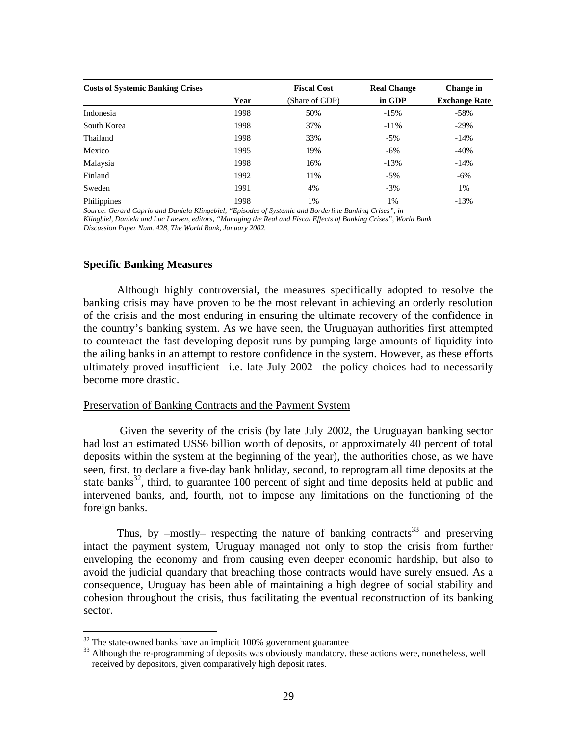| <b>Costs of Systemic Banking Crises</b> |      | <b>Fiscal Cost</b> | <b>Real Change</b> | Change in            |
|-----------------------------------------|------|--------------------|--------------------|----------------------|
|                                         | Year | (Share of GDP)     | in GDP             | <b>Exchange Rate</b> |
| Indonesia                               | 1998 | 50%                | $-15%$             | $-58%$               |
| South Korea                             | 1998 | 37%                | $-11\%$            | $-29%$               |
| Thailand                                | 1998 | 33%                | $-5\%$             | $-14%$               |
| Mexico                                  | 1995 | 19%                | $-6\%$             | $-40%$               |
| Malaysia                                | 1998 | 16%                | $-13%$             | $-14%$               |
| Finland                                 | 1992 | 11%                | $-5\%$             | $-6\%$               |
| Sweden                                  | 1991 | 4%                 | $-3%$              | 1%                   |
| Philippines                             | 1998 | 1%                 | 1%                 | $-13%$               |

*Source: Gerard Caprio and Daniela Klingebiel, "Episodes of Systemic and Borderline Banking Crises", in* 

*Klingbiel, Daniela and Luc Laeven, editors, "Managing the Real and Fiscal Effects of Banking Crises", World Bank Discussion Paper Num. 428, The World Bank, January 2002.* 

#### **Specific Banking Measures**

Although highly controversial, the measures specifically adopted to resolve the banking crisis may have proven to be the most relevant in achieving an orderly resolution of the crisis and the most enduring in ensuring the ultimate recovery of the confidence in the country's banking system. As we have seen, the Uruguayan authorities first attempted to counteract the fast developing deposit runs by pumping large amounts of liquidity into the ailing banks in an attempt to restore confidence in the system. However, as these efforts ultimately proved insufficient –i.e. late July 2002– the policy choices had to necessarily become more drastic.

#### Preservation of Banking Contracts and the Payment System

 Given the severity of the crisis (by late July 2002, the Uruguayan banking sector had lost an estimated US\$6 billion worth of deposits, or approximately 40 percent of total deposits within the system at the beginning of the year), the authorities chose, as we have seen, first, to declare a five-day bank holiday, second, to reprogram all time deposits at the state banks<sup>32</sup>, third, to guarantee 100 percent of sight and time deposits held at public and intervened banks, and, fourth, not to impose any limitations on the functioning of the foreign banks.

Thus, by  $-mostly$ – respecting the nature of banking contracts<sup>33</sup> and preserving intact the payment system, Uruguay managed not only to stop the crisis from further enveloping the economy and from causing even deeper economic hardship, but also to avoid the judicial quandary that breaching those contracts would have surely ensued. As a consequence, Uruguay has been able of maintaining a high degree of social stability and cohesion throughout the crisis, thus facilitating the eventual reconstruction of its banking sector.

 $\overline{a}$ 

 $32$  The state-owned banks have an implicit 100% government guarantee

<sup>&</sup>lt;sup>33</sup> Although the re-programming of deposits was obviously mandatory, these actions were, nonetheless, well received by depositors, given comparatively high deposit rates.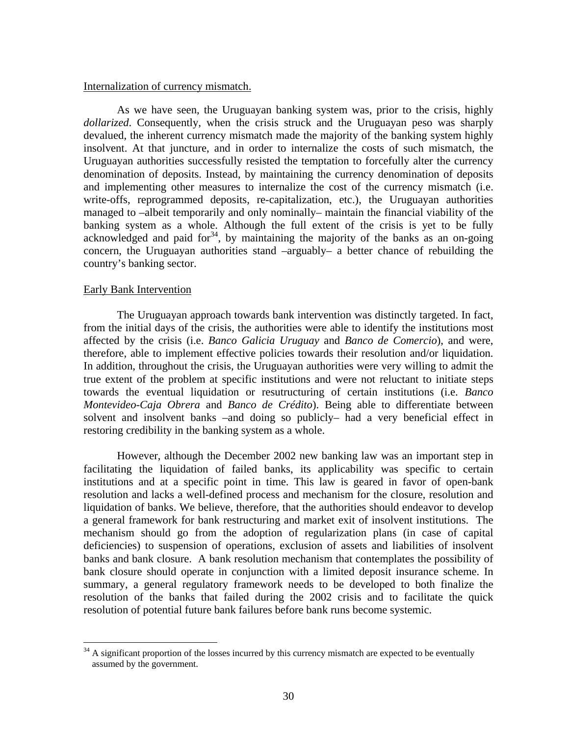#### Internalization of currency mismatch.

As we have seen, the Uruguayan banking system was, prior to the crisis, highly *dollarized*. Consequently, when the crisis struck and the Uruguayan peso was sharply devalued, the inherent currency mismatch made the majority of the banking system highly insolvent. At that juncture, and in order to internalize the costs of such mismatch, the Uruguayan authorities successfully resisted the temptation to forcefully alter the currency denomination of deposits. Instead, by maintaining the currency denomination of deposits and implementing other measures to internalize the cost of the currency mismatch (i.e. write-offs, reprogrammed deposits, re-capitalization, etc.), the Uruguayan authorities managed to –albeit temporarily and only nominally– maintain the financial viability of the banking system as a whole. Although the full extent of the crisis is yet to be fully acknowledged and paid for<sup>34</sup>, by maintaining the majority of the banks as an on-going concern, the Uruguayan authorities stand –arguably– a better chance of rebuilding the country's banking sector.

### Early Bank Intervention

1

The Uruguayan approach towards bank intervention was distinctly targeted. In fact, from the initial days of the crisis, the authorities were able to identify the institutions most affected by the crisis (i.e. *Banco Galicia Uruguay* and *Banco de Comercio*), and were, therefore, able to implement effective policies towards their resolution and/or liquidation. In addition, throughout the crisis, the Uruguayan authorities were very willing to admit the true extent of the problem at specific institutions and were not reluctant to initiate steps towards the eventual liquidation or resutructuring of certain institutions (i.e. *Banco Montevideo-Caja Obrera* and *Banco de Crédito*). Being able to differentiate between solvent and insolvent banks –and doing so publicly– had a very beneficial effect in restoring credibility in the banking system as a whole.

However, although the December 2002 new banking law was an important step in facilitating the liquidation of failed banks, its applicability was specific to certain institutions and at a specific point in time. This law is geared in favor of open-bank resolution and lacks a well-defined process and mechanism for the closure, resolution and liquidation of banks. We believe, therefore, that the authorities should endeavor to develop a general framework for bank restructuring and market exit of insolvent institutions. The mechanism should go from the adoption of regularization plans (in case of capital deficiencies) to suspension of operations, exclusion of assets and liabilities of insolvent banks and bank closure. A bank resolution mechanism that contemplates the possibility of bank closure should operate in conjunction with a limited deposit insurance scheme. In summary, a general regulatory framework needs to be developed to both finalize the resolution of the banks that failed during the 2002 crisis and to facilitate the quick resolution of potential future bank failures before bank runs become systemic.

 $34$  A significant proportion of the losses incurred by this currency mismatch are expected to be eventually assumed by the government.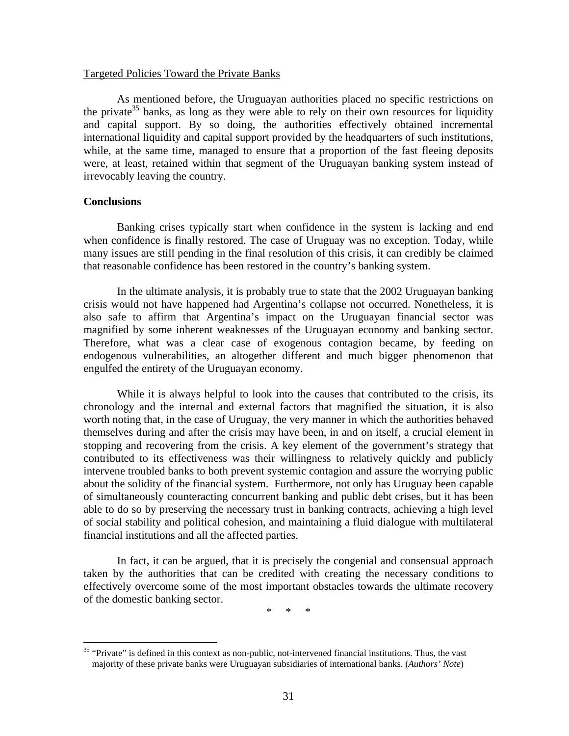#### Targeted Policies Toward the Private Banks

As mentioned before, the Uruguayan authorities placed no specific restrictions on the private<sup>35</sup> banks, as long as they were able to rely on their own resources for liquidity and capital support. By so doing, the authorities effectively obtained incremental international liquidity and capital support provided by the headquarters of such institutions, while, at the same time, managed to ensure that a proportion of the fast fleeing deposits were, at least, retained within that segment of the Uruguayan banking system instead of irrevocably leaving the country.

#### **Conclusions**

 $\overline{a}$ 

Banking crises typically start when confidence in the system is lacking and end when confidence is finally restored. The case of Uruguay was no exception. Today, while many issues are still pending in the final resolution of this crisis, it can credibly be claimed that reasonable confidence has been restored in the country's banking system.

In the ultimate analysis, it is probably true to state that the 2002 Uruguayan banking crisis would not have happened had Argentina's collapse not occurred. Nonetheless, it is also safe to affirm that Argentina's impact on the Uruguayan financial sector was magnified by some inherent weaknesses of the Uruguayan economy and banking sector. Therefore, what was a clear case of exogenous contagion became, by feeding on endogenous vulnerabilities, an altogether different and much bigger phenomenon that engulfed the entirety of the Uruguayan economy.

While it is always helpful to look into the causes that contributed to the crisis, its chronology and the internal and external factors that magnified the situation, it is also worth noting that, in the case of Uruguay, the very manner in which the authorities behaved themselves during and after the crisis may have been, in and on itself, a crucial element in stopping and recovering from the crisis. A key element of the government's strategy that contributed to its effectiveness was their willingness to relatively quickly and publicly intervene troubled banks to both prevent systemic contagion and assure the worrying public about the solidity of the financial system. Furthermore, not only has Uruguay been capable of simultaneously counteracting concurrent banking and public debt crises, but it has been able to do so by preserving the necessary trust in banking contracts, achieving a high level of social stability and political cohesion, and maintaining a fluid dialogue with multilateral financial institutions and all the affected parties.

In fact, it can be argued, that it is precisely the congenial and consensual approach taken by the authorities that can be credited with creating the necessary conditions to effectively overcome some of the most important obstacles towards the ultimate recovery of the domestic banking sector.

\* \* \*

<sup>&</sup>lt;sup>35</sup> "Private" is defined in this context as non-public, not-intervened financial institutions. Thus, the vast majority of these private banks were Uruguayan subsidiaries of international banks. (*Authors' Note*)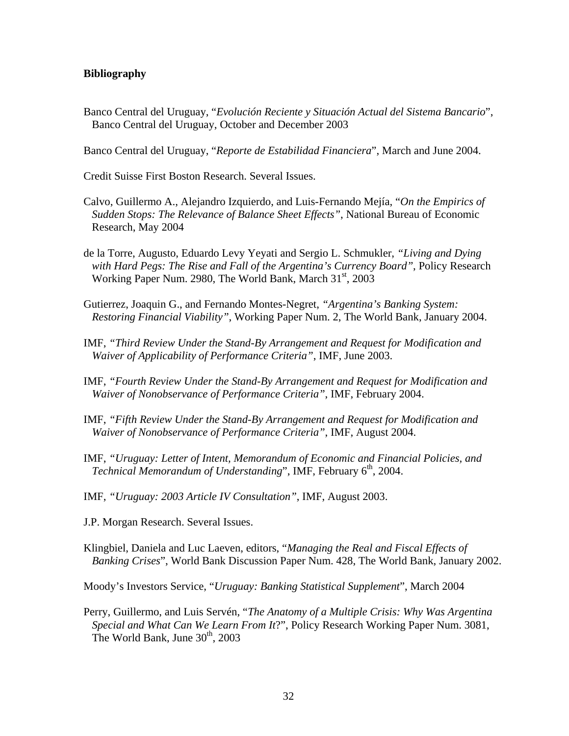## **Bibliography**

Banco Central del Uruguay, "*Evolución Reciente y Situación Actual del Sistema Bancario*", Banco Central del Uruguay, October and December 2003

Banco Central del Uruguay, "*Reporte de Estabilidad Financiera*", March and June 2004.

Credit Suisse First Boston Research. Several Issues.

- Calvo, Guillermo A., Alejandro Izquierdo, and Luis-Fernando Mejía, "*On the Empirics of Sudden Stops: The Relevance of Balance Sheet Effects"*, National Bureau of Economic Research, May 2004
- de la Torre, Augusto, Eduardo Levy Yeyati and Sergio L. Schmukler, *"Living and Dying with Hard Pegs: The Rise and Fall of the Argentina's Currency Board"*, Policy Research Working Paper Num. 2980, The World Bank, March 31<sup>st</sup>, 2003
- Gutierrez, Joaquin G., and Fernando Montes-Negret, *"Argentina's Banking System: Restoring Financial Viability"*, Working Paper Num. 2, The World Bank, January 2004.
- IMF, *"Third Review Under the Stand-By Arrangement and Request for Modification and Waiver of Applicability of Performance Criteria"*, IMF, June 2003.
- IMF, *"Fourth Review Under the Stand-By Arrangement and Request for Modification and Waiver of Nonobservance of Performance Criteria"*, IMF, February 2004.
- IMF, *"Fifth Review Under the Stand-By Arrangement and Request for Modification and Waiver of Nonobservance of Performance Criteria"*, IMF, August 2004.
- IMF, *"Uruguay: Letter of Intent, Memorandum of Economic and Financial Policies, and Technical Memorandum of Understanding*", IMF, February 6<sup>th</sup>, 2004.
- IMF, *"Uruguay: 2003 Article IV Consultation"*, IMF, August 2003.
- J.P. Morgan Research. Several Issues.
- Klingbiel, Daniela and Luc Laeven, editors, "*Managing the Real and Fiscal Effects of Banking Crises*", World Bank Discussion Paper Num. 428, The World Bank, January 2002.

Moody's Investors Service, "*Uruguay: Banking Statistical Supplement*", March 2004

Perry, Guillermo, and Luis Servén, "*The Anatomy of a Multiple Crisis: Why Was Argentina Special and What Can We Learn From It*?", Policy Research Working Paper Num. 3081, The World Bank, June 30<sup>th</sup>, 2003